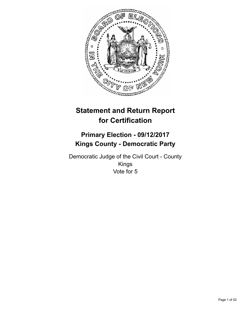

# **Statement and Return Report for Certification**

## **Primary Election - 09/12/2017 Kings County - Democratic Party**

Democratic Judge of the Civil Court - County Kings Vote for 5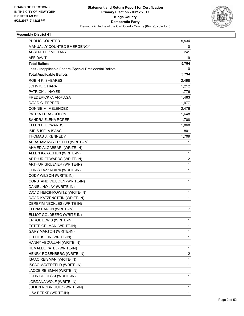

| PUBLIC COUNTER                                           | 5,534        |
|----------------------------------------------------------|--------------|
| MANUALLY COUNTED EMERGENCY                               | 0            |
| <b>ABSENTEE / MILITARY</b>                               | 241          |
| <b>AFFIDAVIT</b>                                         | 19           |
| <b>Total Ballots</b>                                     | 5,794        |
| Less - Inapplicable Federal/Special Presidential Ballots | 0            |
| <b>Total Applicable Ballots</b>                          | 5,794        |
| <b>ROBIN K. SHEARES</b>                                  | 2,498        |
| JOHN K. O'HARA                                           | 1,212        |
| PATRICK J. HAYES                                         | 1,776        |
| <b>FREDERICK C. ARRIAGA</b>                              | 1,463        |
| DAVID C. PEPPER                                          | 1,977        |
| CONNIE M. MELENDEZ                                       | 2,476        |
| PATRIA FRIAS-COLON                                       | 1,648        |
| SANDRA ELENA ROPER                                       | 1,708        |
| ELLEN E. EDWARDS                                         | 1,868        |
| <b>ISIRIS ISELA ISAAC</b>                                | 801          |
| THOMAS J. KENNEDY                                        | 1,709        |
| ABRAHAM MAYERFELD (WRITE-IN)                             | 1            |
| AHMED ALGABBARI (WRITE-IN)                               | $\mathbf{1}$ |
| ALLEN KARACHUN (WRITE-IN)                                | 1            |
| ARTHUR EDWARDS (WRITE-IN)                                | 2            |
| ARTHUR GRUENER (WRITE-IN)                                | $\mathbf{1}$ |
| CHRIS FAZZALARA (WRITE-IN)                               | 1            |
| CODY WILSON (WRITE-IN)                                   | 1            |
| CONSTAND VILIJOEN (WRITE-IN)                             | 1            |
| DANIEL HO JAY (WRITE-IN)                                 | 1            |
| DAVID HERSHKOWITZ (WRITE-IN)                             | 1            |
| DAVID KATZENSTEIN (WRITE-IN)                             | $\mathbf{1}$ |
| DEREFIM NECKLES (WRITE-IN)                               | 1            |
| ELENA BARON (WRITE-IN)                                   | 7            |
| ELLIOT GOLDBERG (WRITE-IN)                               | 1            |
| ERROL LEWIS (WRITE-IN)                                   | 1            |
| ESTEE GELMAN (WRITE-IN)                                  | 1            |
| <b>GARY MARTON (WRITE-IN)</b>                            | 1            |
| GITTIE KLEIN (WRITE-IN)                                  | 1            |
| HANNY ABDULLAH (WRITE-IN)                                | 1            |
| HEMALEE PATEL (WRITE-IN)                                 | 1            |
| HENRY ROSENBERG (WRITE-IN)                               | 2            |
| ISAAC REISMAN (WRITE-IN)                                 | 1            |
| ISSAC MAYERFELD (WRITE-IN)                               | 1            |
| JACOB REISMAN (WRITE-IN)                                 | 1            |
| JOHN BIGOLSKI (WRITE-IN)                                 | 1            |
| JORDANA WOLF (WRITE-IN)                                  | 1            |
| JULIEN RODRIGUEZ (WRITE-IN)                              | 1            |
| LISA BERKE (WRITE-IN)                                    | 1            |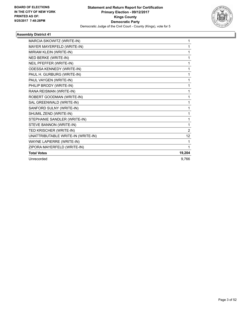

| MARCIA SIKOWITZ (WRITE-IN)         | 1              |
|------------------------------------|----------------|
| MAYER MAYERFELD (WRITE-IN)         | 1              |
| MIRIAM KLEIN (WRITE-IN)            | 1              |
| NED BERKE (WRITE-IN)               | 1              |
| NEIL PFEFFER (WRITE-IN)            | 1              |
| <b>ODESSA KENNEDY (WRITE-IN)</b>   | 1              |
| PAUL H. GURBURG (WRITE-IN)         | 1              |
| PAUL VAYGEN (WRITE-IN)             | 1              |
| PHILIP BRODY (WRITE-IN)            | 1              |
| RANA REISMAN (WRITE-IN)            | 1              |
| ROBERT GOODMAN (WRITE-IN)          | 1              |
| SAL GREENWALD (WRITE-IN)           | 1              |
| SANFORD SULNY (WRITE-IN)           | 1              |
| SHUMIL ZEND (WRITE-IN)             | 1              |
| STEPHANIE SANDLER (WRITE-IN)       | 1              |
| STEVE BANNON (WRITE-IN)            | 1              |
| TED KRISCHER (WRITE-IN)            | $\overline{2}$ |
| UNATTRIBUTABLE WRITE-IN (WRITE-IN) | 12             |
| WAYNE LAPIERRE (WRITE-IN)          | 1              |
| ZIPORA MAYERFELD (WRITE-IN)        | 1              |
| <b>Total Votes</b>                 | 19,204         |
| Unrecorded                         | 9.766          |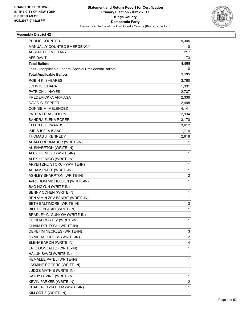

| <b>PUBLIC COUNTER</b>                                    | 9,305        |
|----------------------------------------------------------|--------------|
| MANUALLY COUNTED EMERGENCY                               | 0            |
| <b>ABSENTEE / MILITARY</b>                               | 217          |
| <b>AFFIDAVIT</b>                                         | 73           |
| <b>Total Ballots</b>                                     | 9,595        |
| Less - Inapplicable Federal/Special Presidential Ballots | 0            |
| <b>Total Applicable Ballots</b>                          | 9,595        |
| <b>ROBIN K. SHEARES</b>                                  | 3,760        |
| JOHN K. O'HARA                                           | 1,331        |
| PATRICK J. HAYES                                         | 2,737        |
| <b>FREDERICK C. ARRIAGA</b>                              | 2,336        |
| DAVID C. PEPPER                                          | 2,498        |
| CONNIE M. MELENDEZ                                       | 4,141        |
| PATRIA FRIAS-COLON                                       | 2,934        |
| SANDRA ELENA ROPER                                       | 3,170        |
| ELLEN E. EDWARDS                                         | 3,612        |
| <b>ISIRIS ISELA ISAAC</b>                                | 1,714        |
| THOMAS J. KENNEDY                                        | 2,618        |
| ADAM OBERMAUER (WRITE-IN)                                | 1            |
| AL SHARPTON (WRITE-IN)                                   | 1            |
| ALEX HEINEGG (WRITE-IN)                                  | 1            |
| ALEX HEINIGG (WRITE-IN)                                  | 1            |
| ARYEH ZRU STORCH (WRITE-IN)                              | 1            |
| <b>ASHAM PATEL (WRITE-IN)</b>                            | 1            |
| <b>ASHLEY SHARPTON (WRITE-IN)</b>                        | 2            |
| AVROHOM MICHELSON (WRITE-IN)                             | $\mathbf{1}$ |
| <b>BAO NGYUN (WRITE-IN)</b>                              | 1            |
| BENNY COHEN (WRITE-IN)                                   | 1            |
| BENYAMIN ZEV BENDIT (WRITE-IN)                           | 1            |
| <b>BETH BALTIMORE (WRITE-IN)</b>                         | 3            |
| BILL DE BLASIO (WRITE-IN)                                | 1            |
| BRADLEY C. GUNYOA (WRITE-IN)                             | 1            |
| CECILIA CORTEZ (WRITE-IN)                                | 1            |
| CHAIM DEUTSCH (WRITE-IN)                                 | 1            |
| DEREFIM NECKLES (WRITE-IN)                               | 3            |
| DYNISHAL GROSS (WRITE-IN)                                | 2            |
| ELENA BARON (WRITE-IN)                                   | 4            |
| ERIC GONZALEZ (WRITE-IN)                                 | 1            |
| HALUK SAVCI (WRITE-IN)                                   | 1            |
| HEMALEE PATEL (WRITE-IN)                                 | 1            |
| JASMINE ROGERS (WRITE-IN)                                | 1            |
| JUDGE MATHIS (WRITE-IN)                                  | 1            |
| KATHY LEVINE (WRITE-IN)                                  | 1            |
| KEVIN PARKER (WRITE-IN)                                  | 2            |
| KHADER EL-YATEEM (WRITE-IN)                              | 1            |
| KIM ORTIZ (WRITE-IN)                                     | 1            |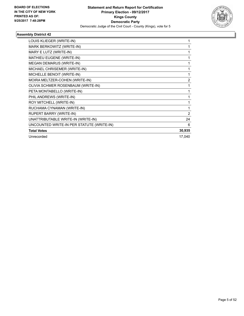

| LOUIS KLIEGER (WRITE-IN)                  |                |
|-------------------------------------------|----------------|
| MARK BERKOWITZ (WRITE-IN)                 |                |
| MARY E LUTZ (WRITE-IN)                    |                |
| MATHIEU EUGENE (WRITE-IN)                 |                |
| <b>MEGAN DEMARUS (WRITE-IN)</b>           |                |
| MICHAEL CHRISEMER (WRITE-IN)              | 1              |
| MICHELLE BENOIT (WRITE-IN)                | 1              |
| MOIRA MELTZER-COHEN (WRITE-IN)            | $\overline{2}$ |
| OLIVIA SCHMER ROSENBAUM (WRITE-IN)        | 1              |
| PETA MONTABELLO (WRITE-IN)                | 1              |
| PHIL ANDREWS (WRITE-IN)                   | 1              |
| ROY MITCHELL (WRITE-IN)                   | 1              |
| RUCHAMA CYNAMAN (WRITE-IN)                | 1              |
| RUPERT BARRY (WRITE-IN)                   | $\overline{2}$ |
| UNATTRIBUTABLE WRITE-IN (WRITE-IN)        | 24             |
| UNCOUNTED WRITE-IN PER STATUTE (WRITE-IN) | 6              |
| <b>Total Votes</b>                        | 30,935         |
| Unrecorded                                | 17,040         |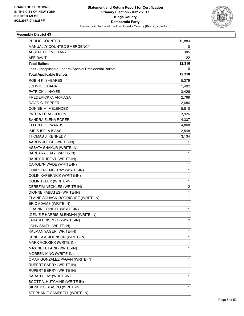

| PUBLIC COUNTER                                           | 11,883         |
|----------------------------------------------------------|----------------|
| MANUALLY COUNTED EMERGENCY                               | 0              |
| ABSENTEE / MILITARY                                      | 305            |
| <b>AFFIDAVIT</b>                                         | 122            |
| <b>Total Ballots</b>                                     | 12,310         |
| Less - Inapplicable Federal/Special Presidential Ballots | 0              |
| <b>Total Applicable Ballots</b>                          | 12,310         |
| <b>ROBIN K. SHEARES</b>                                  | 5,379          |
| JOHN K. O'HARA                                           | 1,492          |
| PATRICK J. HAYES                                         | 3,426          |
| <b>FREDERICK C. ARRIAGA</b>                              | 2,769          |
| DAVID C. PEPPER                                          | 2,686          |
| CONNIE M. MELENDEZ                                       | 5,510          |
| PATRIA FRIAS-COLON                                       | 3,926          |
| SANDRA ELENA ROPER                                       | 4,337          |
| ELLEN E. EDWARDS                                         | 4,868          |
| <b>ISIRIS ISELA ISAAC</b>                                | 2,548          |
| <b>THOMAS J. KENNEDY</b>                                 | 3,134          |
| AARON JUDGE (WRITE-IN)                                   | 1              |
| ASSATA SHAKUR (WRITE-IN)                                 | 1              |
| BARBARA L JAY (WRITE-IN)                                 | 1              |
| BARRY RUPENT (WRITE-IN)                                  | 1              |
| CAROLYN WADE (WRITE-IN)                                  | 1              |
| CHARLENE MCCRAY (WRITE-IN)                               | 1              |
| COLIN KAPERNICK (WRITE-IN)                               | 1              |
| <b>COLIN TULEY (WRITE-IN)</b>                            | 1              |
| DEREFIM NECKLES (WRITE-IN)                               | $\overline{2}$ |
| DIONNE FABIATES (WRITE-IN)                               | 1              |
| ELAINE SCHACK-RODRIGUEZ (WRITE-IN)                       | 1              |
| ERIC ADAMS (WRITE-IN)                                    | 1              |
| <b>GRAINNE O'NEILL (WRITE-IN)</b>                        | 1              |
| IGENIE F HARRIS-BLENMAN (WRITE-IN)                       | 1              |
| JABARI BRISPORT (WRITE-IN)                               | 2              |
| JOHN SMITH (WRITE-IN)                                    | 1              |
| KALMAN YAGER (WRITE-IN)                                  | 1              |
| KENDEA A. JOHNSON (WRITE-IN)                             | 1              |
| MARK VORKINK (WRITE-IN)                                  | 1              |
| MAXINE H. PARK (WRITE-IN)                                | 1              |
| MOREEN KING (WRITE-IN)                                   | 1              |
| OMAR GONZALEZ PAGAN (WRITE-IN)                           | 1              |
| RUPERT BARRY (WRITE-IN)                                  | 1              |
| RUPERT BERRY (WRITE-IN)                                  | 1              |
| SARAH L JAY (WRITE-IN)                                   | 1              |
| SCOTT A. HUTCHINS (WRITE-IN)                             | 1              |
| SIDNEY C BLASCO (WRITE-IN)                               | 1              |
| STEPHANIE CAMPBELL (WRITE-IN)                            | 1              |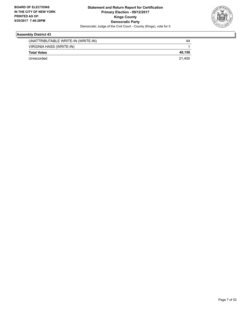

| UNATTRIBUTABLE WRITE-IN (WRITE-IN) | 44     |
|------------------------------------|--------|
| VIRGINIA HASS (WRITE-IN)           |        |
| <b>Total Votes</b>                 | 40.150 |
| Unrecorded                         | 21.400 |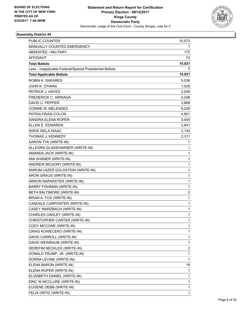

| <b>PUBLIC COUNTER</b>                                    | 10,573 |
|----------------------------------------------------------|--------|
| MANUALLY COUNTED EMERGENCY                               | 1.     |
| <b>ABSENTEE / MILITARY</b>                               | 175    |
| <b>AFFIDAVIT</b>                                         | 72     |
| <b>Total Ballots</b>                                     | 10,821 |
| Less - Inapplicable Federal/Special Presidential Ballots | 0      |
| <b>Total Applicable Ballots</b>                          | 10,821 |
| <b>ROBIN K. SHEARES</b>                                  | 5,036  |
| JOHN K. O'HARA                                           | 1,529  |
| PATRICK J. HAYES                                         | 2,049  |
| <b>FREDERICK C. ARRIAGA</b>                              | 4,248  |
| DAVID C. PEPPER                                          | 3,869  |
| CONNIE M. MELENDEZ                                       | 6,229  |
| PATRIA FRIAS-COLON                                       | 4,851  |
| SANDRA ELENA ROPER                                       | 3,405  |
| ELLEN E. EDWARDS                                         | 2,841  |
| <b>ISIRIS ISELA ISAAC</b>                                | 2,154  |
| THOMAS J. KENNEDY                                        | 2,311  |
| AARON TYK (WRITE-IN)                                     | 1      |
| ALLEGRA GLASSHAWSER (WRITE-IN)                           | 1      |
| AMANDA JACK (WRITE-IN)                                   | 1      |
| AMI SHANER (WRITE-IN)                                    | 1      |
| ANDREW MCGORY (WRITE-IN)                                 | 1      |
| ANRUM LAZER GOLDSTEIN (WRITE-IN)                         | 1      |
| ARON GRAUS (WRITE-IN)                                    | 1      |
| ARRON NAPARSTER (WRITE-IN)                               | 1      |
| <b>BARRY FISHMAN (WRITE-IN)</b>                          | 1      |
| BETH BALTIMORE (WRITE-IN)                                | 2      |
| BRIAN A. FOX (WRITE-IN)                                  | 1      |
| CANDALE CARPONTER (WRITE-IN)                             | 1      |
| CASEY WARZBACH (WRITE-IN)                                | 1      |
| CHARLES OAKLEY (WRITE-IN)                                | 1      |
| CHRISTOPHER CARTER (WRITE-IN)                            | 1      |
| CODY MCCONE (WRITE-IN)                                   | 1      |
| CRAIG KONIECEKO (WRITE-IN)                               | 1      |
| DAVID CARROLL (WRITE-IN)                                 | 1      |
| DAVID WEINRAUB (WRITE-IN)                                | 1      |
| DEREFIM NECKLES (WRITE-IN)                               | 2      |
| DONALD TRUMP, JR. (WRITE-IN)                             | 1      |
| DORNA LEVINE (WRITE-IN)                                  | 1      |
| ELENA BARON (WRITE-IN)                                   | 19     |
| ELENA ROPER (WRITE-IN)                                   | 1      |
| ELIZABETH DANIEL (WRITE-IN)                              | 1      |
| ERIC W MCCLURE (WRITE-IN)                                | 1      |
| EUGENE DEBB (WRITE-IN)                                   | 1      |
| FELIX ORTIZ (WRITE-IN)                                   | 1      |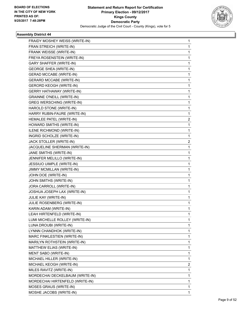

| FRAIDY MOSHEY WEISS (WRITE-IN)    | 1              |
|-----------------------------------|----------------|
| FRAN STREICH (WRITE-IN)           | 1              |
| FRANK WEISSE (WRITE-IN)           | 1              |
| FREYA ROSENSTEIN (WRITE-IN)       | 1              |
| <b>GARY SHAFFER (WRITE-IN)</b>    | 1              |
| <b>GEORGE SHEA (WRITE-IN)</b>     | 1              |
| <b>GERAD MCCABE (WRITE-IN)</b>    | 1              |
| <b>GERARD MCCABE (WRITE-IN)</b>   | 1              |
| <b>GERORD KEOGH (WRITE-IN)</b>    | 1              |
| <b>GERRY HATHAWAY (WRITE-IN)</b>  | 1              |
| <b>GRAINNE O'NEILL (WRITE-IN)</b> | 1              |
| <b>GREG WERSCHING (WRITE-IN)</b>  | 1              |
| HAROLD STONE (WRITE-IN)           | 1              |
| HARRY RUBIN-FAURE (WRITE-IN)      | 1              |
| HEMALEE PATEL (WRITE-IN)          | $\overline{2}$ |
| HOWARD SMITHS (WRITE-IN)          | 1              |
| ILENE RICHMOND (WRITE-IN)         | 1              |
| INGRID SCHOLZE (WRITE-IN)         | 1              |
| JACK STOLLER (WRITE-IN)           | 2              |
| JACQUELINE SHERMAN (WRITE-IN)     | 1              |
| JANE SMITHS (WRITE-IN)            | 1              |
| JENNIFER MELILLO (WRITE-IN)       | 1              |
| JESSIUO UIMPLE (WRITE-IN)         | 1              |
| JIMMY MCMILLAN (WRITE-IN)         | 1              |
| JOHN DOE (WRITE-IN)               | 1              |
| JOHN SMITHS (WRITE-IN)            | 1              |
| JORA CARROLL (WRITE-IN)           | 1              |
| JOSHUA JOSEPH LAX (WRITE-IN)      | 1              |
| JULIE KAY (WRITE-IN)              | 1              |
| JULIE ROSENBERG (WRITE-IN)        | 1              |
| KARIN ADAM (WRITE-IN)             | 1              |
| LEAH HIRTENFELD (WRITE-IN)        | 1              |
| LUMI MICHELLE ROLLEY (WRITE-IN)   | 1              |
| LUNA DROUBI (WRITE-IN)            | 1              |
| LYNNN CHANDHOK (WRITE-IN)         | 1              |
| MARC FINKLESTIEN (WRITE-IN)       | 1              |
| MARILYN ROTHSTEIN (WRITE-IN)      | 1              |
| MATTHEW ELIAS (WRITE-IN)          | 1              |
| MENT SABO (WRITE-IN)              | 1              |
| MICHAEL HILLER (WRITE-IN)         | 1              |
| MICHAEL KEOGH (WRITE-IN)          | 2              |
| MILES RAVITZ (WRITE-IN)           | 1              |
| MORDECHAI DECKELBAUM (WRITE-IN)   | 1              |
| MORDECHAI HIRTENFELD (WRITE-IN)   | 1              |
| MOSES GRAUS (WRITE-IN)            | 1              |
| MOSHE JACOBS (WRITE-IN)           | 1              |
|                                   |                |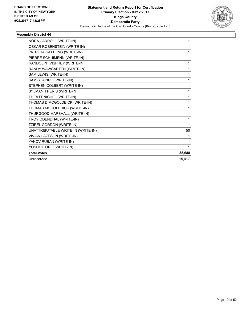

| NORA CARROLL (WRITE-IN)            | 1      |
|------------------------------------|--------|
| OSKAR ROSENSTEIN (WRITE-IN)        | 1      |
| PATRICIA GATTLING (WRITE-IN)       | 1      |
| PIERRE SCHUIMENN (WRITE-IN)        | 1      |
| RANDOLPH VISPREY (WRITE-IN)        | 1      |
| RANDY WAWGARTEN (WRITE-IN)         | 1      |
| SAM LEWIS (WRITE-IN)               | 1      |
| SAM SHAPIRO (WRITE-IN)             | 1      |
| STEPHEN COLBERT (WRITE-IN)         | 1      |
| SYLMAN J PERIS (WRITE-IN)          | 1      |
| THEA FENICHEL (WRITE-IN)           | 1      |
| THOMAS D MCGOLDEICK (WRITE-IN)     | 1      |
| THOMAS MCGOLDRICK (WRITE-IN)       | 1      |
| THURGOOD MARSHALL (WRITE-IN)       | 1      |
| TROY ODENDHAL (WRITE-IN)           | 1      |
| TZIREL GORDON (WRITE-IN)           | 1      |
| UNATTRIBUTABLE WRITE-IN (WRITE-IN) | 50     |
| VIVIAN LAZESON (WRITE-IN)          | 1      |
| YAKOV RUBAN (WRITE-IN)             | 1      |
| YOSHI STORLI (WRITE-IN)            | 1      |
| <b>Total Votes</b>                 | 38,688 |
| Unrecorded                         | 15,417 |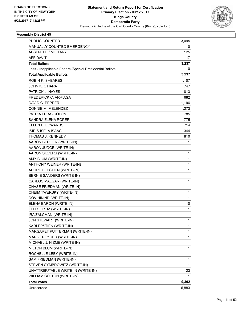

| PUBLIC COUNTER                                           | 3,095        |
|----------------------------------------------------------|--------------|
| MANUALLY COUNTED EMERGENCY                               | 0            |
| ABSENTEE / MILITARY                                      | 125          |
| <b>AFFIDAVIT</b>                                         | 17           |
| <b>Total Ballots</b>                                     | 3,237        |
| Less - Inapplicable Federal/Special Presidential Ballots | 0            |
| <b>Total Applicable Ballots</b>                          | 3,237        |
| <b>ROBIN K. SHEARES</b>                                  | 1,107        |
| JOHN K. O'HARA                                           | 747          |
| PATRICK J. HAYES                                         | 813          |
| <b>FREDERICK C. ARRIAGA</b>                              | 682          |
| DAVID C. PEPPER                                          | 1,196        |
| <b>CONNIE M. MELENDEZ</b>                                | 1,273        |
| PATRIA FRIAS-COLON                                       | 785          |
| SANDRA ELENA ROPER                                       | 775          |
| ELLEN E. EDWARDS                                         | 714          |
| <b>ISIRIS ISELA ISAAC</b>                                | 344          |
| <b>THOMAS J. KENNEDY</b>                                 | 810          |
| AARON BERGER (WRITE-IN)                                  | 1            |
| AARON JUDGE (WRITE-IN)                                   | 1            |
| AARON SILVERS (WRITE-IN)                                 | 1            |
| AMY BLUM (WRITE-IN)                                      | 1            |
| ANTHONY WEINER (WRITE-IN)                                | 1            |
| AUDREY EPSTIEN (WRITE-IN)                                | 1            |
| BERNIE SANDERS (WRITE-IN)                                | 1            |
| CARLOS MALGAR (WRITE-IN)                                 | 1            |
| CHASE FRIEDMAN (WRITE-IN)                                | 1            |
| CHEIM TWERSKY (WRITE-IN)                                 | 1            |
| DOV HIKIND (WRITE-IN)                                    | $\mathbf{1}$ |
| ELENA BARON (WRITE-IN)                                   | 10           |
| FELIX ORTIZ (WRITE-IN)                                   | 1            |
| IRA ZALCMAN (WRITE-IN)                                   | 1            |
| JON STEWART (WRITE-IN)                                   | 1            |
| KARI EPSTIEN (WRITE-IN)                                  | 1            |
| MARGARET PUTTERMAN (WRITE-IN)                            | 1            |
| MARK TREYGER (WRITE-IN)                                  | 1            |
| MICHAEL J. HIZME (WRITE-IN)                              | 1            |
| MILTON BLUM (WRITE-IN)                                   | 1            |
| ROCHELLE LEEY (WRITE-IN)                                 | 1            |
| SAM FRIEDMAN (WRITE-IN)                                  | 1            |
| STEVEN CYMBROWITZ (WRITE-IN)                             | 1            |
| UNATTRIBUTABLE WRITE-IN (WRITE-IN)                       | 23           |
| WILLIAM COLTON (WRITE-IN)                                | 1            |
| <b>Total Votes</b>                                       | 9,302        |
| Unrecorded                                               | 6,883        |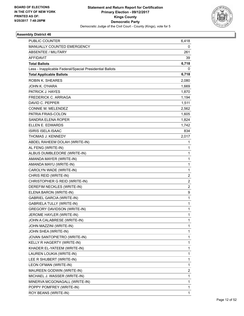

| <b>PUBLIC COUNTER</b>                                    | 6,418          |
|----------------------------------------------------------|----------------|
| MANUALLY COUNTED EMERGENCY                               | 0              |
| <b>ABSENTEE / MILITARY</b>                               | 261            |
| <b>AFFIDAVIT</b>                                         | 39             |
| <b>Total Ballots</b>                                     | 6,718          |
| Less - Inapplicable Federal/Special Presidential Ballots | 0              |
| <b>Total Applicable Ballots</b>                          | 6,718          |
| <b>ROBIN K. SHEARES</b>                                  | 2,080          |
| JOHN K. O'HARA                                           | 1,669          |
| PATRICK J. HAYES                                         | 1,870          |
| <b>FREDERICK C. ARRIAGA</b>                              | 1,194          |
| DAVID C. PEPPER                                          | 1,511          |
| CONNIE M. MELENDEZ                                       | 2,562          |
| PATRIA FRIAS-COLON                                       | 1,605          |
| <b>SANDRA ELENA ROPER</b>                                | 1,824          |
| ELLEN E. EDWARDS                                         | 1,742          |
| <b>ISIRIS ISELA ISAAC</b>                                | 834            |
| THOMAS J. KENNEDY                                        | 2,017          |
| ABDEL RAHEEM DOLAH (WRITE-IN)                            | 1              |
| AL FENG (WRITE-IN)                                       | 1              |
| ALBUS DUMBLEDORE (WRITE-IN)                              | 1              |
| AMANDA MAYER (WRITE-IN)                                  | 1              |
| AMANDA MAYU (WRITE-IN)                                   | $\mathbf{1}$   |
| CAROLYN WADE (WRITE-IN)                                  | 1              |
| CHRIS REID (WRITE-IN)                                    | $\overline{c}$ |
| CHRISTOPHER G REID (WRITE-IN)                            | $\overline{2}$ |
| DEREFIM NECKLES (WRITE-IN)                               | 2              |
| ELENA BARON (WRITE-IN)                                   | 9              |
| <b>GABRIEL GARCIA (WRITE-IN)</b>                         | $\mathbf{1}$   |
| <b>GABRIELA TULLY (WRITE-IN)</b>                         | 1              |
| <b>GREGORY DAVIDSON (WRITE-IN)</b>                       | 1              |
| JEROME HAYLER (WRITE-IN)                                 | 1              |
| JOHN A CALABRESE (WRITE-IN)                              | 1              |
| JOHN MAZZINI (WRITE-IN)                                  | 1              |
| JOHN SHEA (WRITE-IN)                                     | 1              |
| JOVAN SANTOPIETRO (WRITE-IN)                             | 1              |
| KELLY R HAGERTY (WRITE-IN)                               | 1              |
| KHADER EL-YATEEM (WRITE-IN)                              | 1              |
| LAUREN LOUKIA (WRITE-IN)                                 | 1              |
| LEE R SHUBERT (WRITE-IN)                                 | 1              |
| LEON OFMAN (WRITE-IN)                                    | 1              |
| MAUREEN GODWIN (WRITE-IN)                                | 2              |
| MICHAEL J. WASSER (WRITE-IN)                             | 1              |
| MINERVA MCGONAGALL (WRITE-IN)                            | 1              |
| POPPY POMFREY (WRITE-IN)                                 | 1              |
| ROY BEANS (WRITE-IN)                                     | 1              |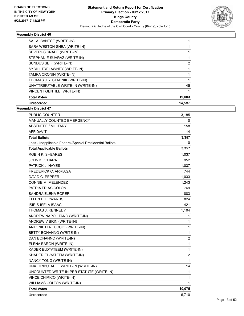

| SAL ALBANESE (WRITE-IN)            |        |
|------------------------------------|--------|
| SARA WESTON-SHEA (WRITE-IN)        |        |
| SEVERUS SNAPE (WRITE-IN)           |        |
| STEPHANIE SUARAZ (WRITE-IN)        |        |
| SUNDUS SEIF (WRITE-IN)             | 2      |
| SYBILL TRELAWNEY (WRITE-IN)        |        |
| TAMRA CRONIN (WRITE-IN)            |        |
| THOMAS J.R. STADNIK (WRITE-IN)     |        |
| UNATTRIBUTABLE WRITE-IN (WRITE-IN) | 45     |
| VINCENT GENTILE (WRITE-IN)         |        |
| <b>Total Votes</b>                 | 19,003 |
| Unrecorded                         | 14.587 |

| <b>PUBLIC COUNTER</b>                                    | 3,185          |
|----------------------------------------------------------|----------------|
| <b>MANUALLY COUNTED EMERGENCY</b>                        | 0              |
| ABSENTEE / MILITARY                                      | 158            |
| <b>AFFIDAVIT</b>                                         | 14             |
| <b>Total Ballots</b>                                     | 3,357          |
| Less - Inapplicable Federal/Special Presidential Ballots | 0              |
| <b>Total Applicable Ballots</b>                          | 3,357          |
| <b>ROBIN K. SHEARES</b>                                  | 1,037          |
| JOHN K. O'HARA                                           | 952            |
| PATRICK J. HAYES                                         | 1,037          |
| <b>FREDERICK C. ARRIAGA</b>                              | 744            |
| DAVID C. PEPPER                                          | 1,033          |
| <b>CONNIE M. MELENDEZ</b>                                | 1,243          |
| PATRIA FRIAS-COLON                                       | 769            |
| SANDRA ELENA ROPER                                       | 883            |
| ELLEN E. EDWARDS                                         | 824            |
| ISIRIS ISELA ISAAC                                       | 421            |
| THOMAS J. KENNEDY                                        | 1,104          |
| ANDREW NAPOLITANO (WRITE-IN)                             | 1              |
| ANDREW V BRIN (WRITE-IN)                                 | 1              |
| ANTONIETTA FUCCIO (WRITE-IN)                             | 1              |
| BETTY BONANNO (WRITE-IN)                                 | 1              |
| DAN BONANNO (WRITE-IN)                                   | $\overline{c}$ |
| ELENA BARON (WRITE-IN)                                   | $\mathbf 1$    |
| KADER ELDYATEEM (WRITE-IN)                               | 1              |
| KHADER EL-YATEEM (WRITE-IN)                              | $\overline{2}$ |
| NANCY TONG (WRITE-IN)                                    | 1              |
| UNATTRIBUTABLE WRITE-IN (WRITE-IN)                       | 14             |
| UNCOUNTED WRITE-IN PER STATUTE (WRITE-IN)                | 1              |
| <b>VINCE CHIRICO (WRITE-IN)</b>                          | 1              |
| WILLIAMS COLTON (WRITE-IN)                               | 1              |
| <b>Total Votes</b>                                       | 10,075         |
| Unrecorded                                               | 6,710          |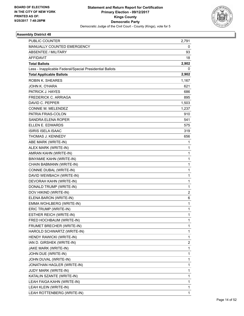

| PUBLIC COUNTER                                           | 2,791          |
|----------------------------------------------------------|----------------|
| MANUALLY COUNTED EMERGENCY                               | 0              |
| <b>ABSENTEE / MILITARY</b>                               | 93             |
| <b>AFFIDAVIT</b>                                         | 18             |
| <b>Total Ballots</b>                                     | 2,902          |
| Less - Inapplicable Federal/Special Presidential Ballots | 0              |
| <b>Total Applicable Ballots</b>                          | 2,902          |
| <b>ROBIN K. SHEARES</b>                                  | 1,167          |
| JOHN K. O'HARA                                           | 621            |
| PATRICK J. HAYES                                         | 686            |
| <b>FREDERICK C. ARRIAGA</b>                              | 895            |
| DAVID C. PEPPER                                          | 1,503          |
| <b>CONNIE M. MELENDEZ</b>                                | 1,237          |
| PATRIA FRIAS-COLON                                       | 910            |
| SANDRA ELENA ROPER                                       | 541            |
| ELLEN E. EDWARDS                                         | 575            |
| <b>ISIRIS ISELA ISAAC</b>                                | 319            |
| THOMAS J. KENNEDY                                        | 656            |
| ABE MARK (WRITE-IN)                                      | 1              |
| ALEX MARK (WRITE-IN)                                     | 1              |
| AMRAN KAHN (WRITE-IN)                                    | 1              |
| BINYAMIE KAHN (WRITE-IN)                                 | 1              |
| CHAIN BABMANN (WRITE-IN)                                 | $\mathbf{1}$   |
| CONNIE DUBAL (WRITE-IN)                                  | 1              |
| DAVID WEWBACH (WRITE-IN)                                 | 1              |
| DEVORAH KAHN (WRITE-IN)                                  | $\mathbf{1}$   |
| DONALD TRUMP (WRITE-IN)                                  | 1              |
| DOV HIKIND (WRITE-IN)                                    | $\overline{c}$ |
| ELENA BARON (WRITE-IN)                                   | 6              |
| EMMA WOHLBERG (WRITE-IN)                                 | 1              |
| ERIC TRUMP (WRITE-IN)                                    | 1              |
| <b>ESTHER REICH (WRITE-IN)</b>                           | 1              |
| FRED HOCHBAUM (WRITE-IN)                                 | 1              |
| FRUMET BRECHER (WRITE-IN)                                | 1              |
| HAROLD SCHWARTZ (WRITE-IN)                               | 1              |
| HENDY RAWICKI (WRITE-IN)                                 | 1              |
| IAN D. GIRSHEK (WRITE-IN)                                | 2              |
| <b>JAKE MARK (WRITE-IN)</b>                              | 1              |
| JOHN DUE (WRITE-IN)                                      | 1              |
| JOHN DUVAL (WRITE-IN)                                    | 1              |
| JONATHAN HAGLER (WRITE-IN)                               | 1              |
| JUDY MARK (WRITE-IN)                                     | 1              |
| KATALIN SZANTE (WRITE-IN)                                | 1              |
| LEAH FAIGA KAHN (WRITE-IN)                               | 1              |
| LEAH KLEIN (WRITE-IN)                                    | 1              |
| LEAH ROTTENBERG (WRITE-IN)                               | 1              |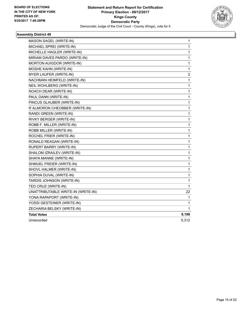

| MASON SAGEL (WRITE-IN)             | 1            |
|------------------------------------|--------------|
| MICHAEL SPREI (WRITE-IN)           | 1            |
| MICHELLE HAGLER (WRITE-IN)         | 1            |
| MIRIAM DAVES PARDO (WRITE-IN)      | 1            |
| MORTON AUIGDOR (WRITE-IN)          | 1            |
| MOSHE KAHN (WRITE-IN)              | $\mathbf 1$  |
| <b>MYER LAUFER (WRITE-IN)</b>      | 2            |
| NACHMAN HEIMFELD (WRITE-IN)        | $\mathbf{1}$ |
| NEIL WOHLBERG (WRITE-IN)           | 1            |
| NOACH DEAR (WRITE-IN)              | 1            |
| PAUL DANN (WRITE-IN)               | 1            |
| PINCUS GLAUBER (WRITE-IN)          | $\mathbf{1}$ |
| R'ALMORON CHEOBBER (WRITE-IN)      | 1            |
| RANDI GREEN (WRITE-IN)             | 1            |
| RIVKY BERGER (WRITE-IN)            | 1            |
| ROBB F. MILLER (WRITE-IN)          | 1            |
| ROBB MILLER (WRITE-IN)             | 1            |
| ROCHEL FRIER (WRITE-IN)            | 1            |
| RONALD REAGAN (WRITE-IN)           | 1            |
| RUPERT BARRY (WRITE-IN)            | 1            |
| SHALOM IZRAILEV (WRITE-IN)         | 1            |
| SHAYA MANNE (WRITE-IN)             | 1            |
| SHMUEL FREIER (WRITE-IN)           | 1            |
| SHOVL HALMER (WRITE-IN)            | 1            |
| SOPHIA DUVAL (WRITE-IN)            | 1            |
| TARDIS JOHNSON (WRITE-IN)          | 1            |
| TED CRUZ (WRITE-IN)                | 1            |
| UNATTRIBUTABLE WRITE-IN (WRITE-IN) | 22           |
| YONA RAPAPORT (WRITE-IN)           | 1            |
| YOSSI GESTEINER (WRITE-IN)         | 1            |
| ZECHARIA BELSKY (WRITE-IN)         | 1            |
| <b>Total Votes</b>                 | 9,198        |
| Unrecorded                         | 5,312        |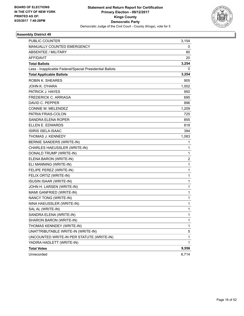

| PUBLIC COUNTER                                           | 3,154 |
|----------------------------------------------------------|-------|
| MANUALLY COUNTED EMERGENCY                               | 0     |
| <b>ABSENTEE / MILITARY</b>                               | 80    |
| <b>AFFIDAVIT</b>                                         | 20    |
| <b>Total Ballots</b>                                     | 3,254 |
| Less - Inapplicable Federal/Special Presidential Ballots | 0     |
| <b>Total Applicable Ballots</b>                          | 3,254 |
| <b>ROBIN K. SHEARES</b>                                  | 905   |
| JOHN K. O'HARA                                           | 1,002 |
| PATRICK J. HAYES                                         | 950   |
| <b>FREDERICK C. ARRIAGA</b>                              | 695   |
| DAVID C. PEPPER                                          | 896   |
| CONNIE M. MELENDEZ                                       | 1,209 |
| PATRIA FRIAS-COLON                                       | 725   |
| SANDRA ELENA ROPER                                       | 855   |
| ELLEN E. EDWARDS                                         | 818   |
| <b>ISIRIS ISELA ISAAC</b>                                | 394   |
| THOMAS J. KENNEDY                                        | 1,083 |
| BERNIE SANDERS (WRITE-IN)                                | 1     |
| CHARLES HAEUSSLER (WRITE-IN)                             | 1     |
| DONALD TRUMP (WRITE-IN)                                  | 1     |
| ELENA BARON (WRITE-IN)                                   | 2     |
| ELI MANNING (WRITE-IN)                                   | 1     |
| FELIPE PEREZ (WRITE-IN)                                  | 1     |
| FELIX ORTIZ (WRITE-IN)                                   | 1     |
| <b>ISUSIN ISAAR (WRITE-IN)</b>                           | 1     |
| JOHN H. LARSEN (WRITE-IN)                                | 1     |
| MAMI GANFRIED (WRITE-IN)                                 | 1     |
| NANCY TONG (WRITE-IN)                                    | 1     |
| NINA HAEUSSLER (WRITE-IN)                                | 1     |
| SAL AL (WRITE-IN)                                        | 1     |
| SANDRA ELENA (WRITE-IN)                                  | 1     |
| SHARON BARON (WRITE-IN)                                  | 1     |
| THOMAS KENNDEY (WRITE-IN)                                | 1     |
| UNATTRIBUTABLE WRITE-IN (WRITE-IN)                       | 5     |
| UNCOUNTED WRITE-IN PER STATUTE (WRITE-IN)                | 1     |
| YADIRA HADLETT (WRITE-IN)                                | 1     |
| <b>Total Votes</b>                                       | 9,556 |
| Unrecorded                                               | 6,714 |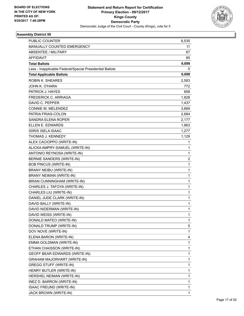

| <b>PUBLIC COUNTER</b>                                    | 6,535        |
|----------------------------------------------------------|--------------|
| MANUALLY COUNTED EMERGENCY                               | 11           |
| <b>ABSENTEE / MILITARY</b>                               | 67           |
| <b>AFFIDAVIT</b>                                         | 85           |
| <b>Total Ballots</b>                                     | 6,698        |
| Less - Inapplicable Federal/Special Presidential Ballots | 0            |
| <b>Total Applicable Ballots</b>                          | 6,698        |
| <b>ROBIN K. SHEARES</b>                                  | 2,583        |
| JOHN K. O'HARA                                           | 772          |
| PATRICK J. HAYES                                         | 858          |
| <b>FREDERICK C. ARRIAGA</b>                              | 1,828        |
| DAVID C. PEPPER                                          | 1,437        |
| <b>CONNIE M. MELENDEZ</b>                                | 3,669        |
| PATRIA FRIAS-COLON                                       | 2,684        |
| <b>SANDRA ELENA ROPER</b>                                | 2,177        |
| ELLEN E. EDWARDS                                         | 1,863        |
| <b>ISIRIS ISELA ISAAC</b>                                | 1,277        |
| THOMAS J. KENNEDY                                        | 1,129        |
| ALEX CACIOPPO (WRITE-IN)                                 | 1            |
| ALICKA AMPRY-SAMUEL (WRITE-IN)                           | 1            |
| ANTONIO REYNOSA (WRITE-IN)                               | 1            |
| BERNIE SANDERS (WRITE-IN)                                | 2            |
| <b>BOB PINCUS (WRITE-IN)</b>                             | $\mathbf{1}$ |
| <b>BRANY NEIBU (WRITE-IN)</b>                            | 1            |
| BRANY NEIMAN (WRITE-IN)                                  | 1            |
| BRIAN CUNNINGHAM (WRITE-IN)                              | 1            |
| CHARLES J. TAFOYA (WRITE-IN)                             | 1            |
| CHARLES LIU (WRITE-IN)                                   | 1            |
| DANIEL JUDE CLARK (WRITE-IN)                             | $\mathbf{1}$ |
| DAVID BALLY (WRITE-IN)                                   | 1            |
| DAVID NIDERMAN (WRITE-IN)                                | 1            |
| DAVID WEISS (WRITE-IN)                                   | 1            |
| DONALD MATEO (WRITE-IN)                                  | 1            |
| DONALD TRUMP (WRITE-IN)                                  | 5            |
| DOV NOVE (WRITE-IN)                                      | 1            |
| ELENA BARON (WRITE-IN)                                   | 4            |
| EMMA GOLDMAN (WRITE-IN)                                  | 1            |
| ETHAN CHAISSON (WRITE-IN)                                | 1            |
| GEOFF BEAR EDWARDS (WRITE-IN)                            | 1            |
| GRAHAM MAJORHART (WRITE-IN)                              | 1            |
| GREGG STUFF (WRITE-IN)                                   | 1            |
| HENRY BUTLER (WRITE-IN)                                  | 1            |
| HERSHEL NEIMAN (WRITE-IN)                                | 1            |
| INEZ D. BARRON (WRITE-IN)                                | 1            |
| ISAAC FREUND (WRITE-IN)                                  | 1            |
| JACK BROWN (WRITE-IN)                                    | 1            |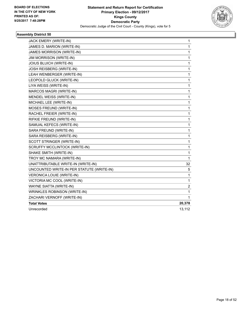

| JACK EMERY (WRITE-IN)                     | 1              |
|-------------------------------------------|----------------|
| JAMES D. MARION (WRITE-IN)                | 1              |
| JAMES MORRISON (WRITE-IN)                 | 1              |
| <b>JIM MORRISON (WRITE-IN)</b>            | 1              |
| <b>JOIUS BLUICH (WRITE-IN)</b>            | 1              |
| <b>JOSH REISBERG (WRITE-IN)</b>           | 1              |
| LEAH WENBERGER (WRITE-IN)                 | 1              |
| LEOPOLD GLUCK (WRITE-IN)                  | 1              |
| LIYA WEISS (WRITE-IN)                     | 1              |
| MARCOS MAGRI (WRITE-IN)                   | 1              |
| MENDEL WEISS (WRITE-IN)                   | 1              |
| MICHAEL LEE (WRITE-IN)                    | 1              |
| MOSES FREUND (WRITE-IN)                   | 1              |
| RACHEL FREIER (WRITE-IN)                  | 1              |
| RIFKIE FREUND (WRITE-IN)                  | 1              |
| SAMUAL KEFECS (WRITE-IN)                  | 1              |
| SARA FREUND (WRITE-IN)                    | 1              |
| SARA REISBERG (WRITE-IN)                  | 1              |
| SCOTT STRINGER (WRITE-IN)                 | 1              |
| <b>SCRUFFY MCCLINTOCK (WRITE-IN)</b>      | 1              |
| SHAKE SMITH (WRITE-IN)                    | 1              |
| TROY MC NAMARA (WRITE-IN)                 | 1              |
| UNATTRIBUTABLE WRITE-IN (WRITE-IN)        | 32             |
| UNCOUNTED WRITE-IN PER STATUTE (WRITE-IN) | 5              |
| <b>VERONICA LOUIE (WRITE-IN)</b>          | 1              |
| VICTORIA MC COOL (WRITE-IN)               | 1              |
| WAYNE SIATTA (WRITE-IN)                   | $\overline{c}$ |
| WRINKLES ROBINSON (WRITE-IN)              | 1              |
| ZACHARI VERNOFF (WRITE-IN)                | 1              |
| <b>Total Votes</b>                        | 20,378         |
| Unrecorded                                | 13,112         |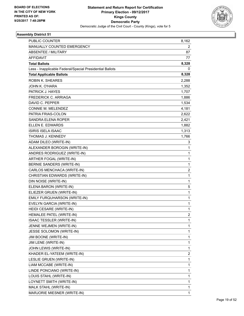

| PUBLIC COUNTER                                           | 8,162          |
|----------------------------------------------------------|----------------|
| MANUALLY COUNTED EMERGENCY                               | 2              |
| <b>ABSENTEE / MILITARY</b>                               | 87             |
| <b>AFFIDAVIT</b>                                         | 77             |
| <b>Total Ballots</b>                                     | 8,328          |
| Less - Inapplicable Federal/Special Presidential Ballots | 0              |
| <b>Total Applicable Ballots</b>                          | 8,328          |
| <b>ROBIN K. SHEARES</b>                                  | 2,288          |
| JOHN K. O'HARA                                           | 1,352          |
| PATRICK J. HAYES                                         | 1,707          |
| <b>FREDERICK C. ARRIAGA</b>                              | 1,886          |
| DAVID C. PEPPER                                          | 1,534          |
| <b>CONNIE M. MELENDEZ</b>                                | 4,181          |
| PATRIA FRIAS-COLON                                       | 2,622          |
| <b>SANDRA ELENA ROPER</b>                                | 2,421          |
| ELLEN E. EDWARDS                                         | 1,882          |
| <b>ISIRIS ISELA ISAAC</b>                                | 1,313          |
| THOMAS J. KENNEDY                                        | 1,766          |
| ADAM DILEO (WRITE-IN)                                    | 3              |
| ALEXANDER BOROGIN (WRITE-IN)                             | 1              |
| ANDRES RODRIGUEZ (WRITE-IN)                              | 1              |
| ARTHER FOGAL (WRITE-IN)                                  | 1              |
| BERNIE SANDERS (WRITE-IN)                                | 1              |
| CARLOS MENCHACA (WRITE-IN)                               | $\overline{2}$ |
| CHRISTIAN EDWARDS (WRITE-IN)                             | 1              |
| DIN NOISE (WRITE-IN)                                     | 1              |
| ELENA BARON (WRITE-IN)                                   | 5              |
| ELIEZER GRUEN (WRITE-IN)                                 | 1              |
| EMILY FURQUHARSON (WRITE-IN)                             | 1              |
| EVELYN GARCIA (WRITE-IN)                                 | 1              |
| HEIDI CESARE (WRITE-IN)                                  | 1              |
| HEMALEE PATEL (WRITE-IN)                                 | 2              |
| ISAAC TESSLER (WRITE-IN)                                 | 1              |
| JENNE WEJMEN (WRITE-IN)                                  | 1              |
| JESSE SOLOMON (WRITE-IN)                                 | 1              |
| JIM BOONE (WRITE-IN)                                     | 1              |
| JIM LENE (WRITE-IN)                                      | 1              |
| JOHN LEWIS (WRITE-IN)                                    | 1              |
| KHADER EL-YATEEM (WRITE-IN)                              | 2              |
| LESLIE GRUEN (WRITE-IN)                                  | 1              |
| LIAM MCCABE (WRITE-IN)                                   | 1              |
| LINDE PONCIANO (WRITE-IN)                                | 1              |
| LOUIS STAHL (WRITE-IN)                                   | 1              |
| LOYNETT SMITH (WRITE-IN)                                 | 1              |
| MALK STAHL (WRITE-IN)                                    | 1              |
| MARJORIE MIESNER (WRITE-IN)                              | 1              |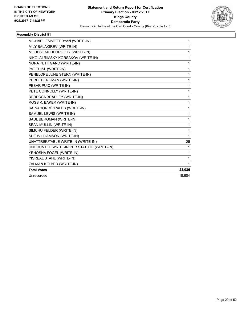

| MICHAEL EMMETT RYAN (WRITE-IN)            | 1      |
|-------------------------------------------|--------|
| MILY BALAKIREV (WRITE-IN)                 | 1      |
| MODEST MUDEORGFHY (WRITE-IN)              | 1      |
| NIKOLAI RIMSKY KORSAKOV (WRITE-IN)        | 1      |
| NORA PETITGAND (WRITE-IN)                 | 1      |
| PAT TUISL (WRITE-IN)                      | 1      |
| PENELOPE JUNE STERN (WRITE-IN)            | 1      |
| PEREL BERGMAN (WRITE-IN)                  | 1      |
| PESAR PUIC (WRITE-IN)                     | 1      |
| PETE CONNOLLY (WRITE-IN)                  | 1      |
| REBECCA BRADLEY (WRITE-IN)                | 1      |
| ROSS K. BAKER (WRITE-IN)                  | 1      |
| SALVADOR MORALES (WRITE-IN)               | 1      |
| SAMUEL LEWIS (WRITE-IN)                   | 1      |
| SAUL BERGMAN (WRITE-IN)                   | 1      |
| SEAN MULLIN (WRITE-IN)                    | 1      |
| SIMCHU FELDER (WRITE-IN)                  | 1      |
| SUE WILLIAMSON (WRITE-IN)                 | 1      |
| UNATTRIBUTABLE WRITE-IN (WRITE-IN)        | 25     |
| UNCOUNTED WRITE-IN PER STATUTE (WRITE-IN) | 1      |
| YEHOSHA FOGEL (WRITE-IN)                  | 1      |
| YISREAL STAHL (WRITE-IN)                  | 1      |
| ZALMAN KELBER (WRITE-IN)                  | 1      |
| <b>Total Votes</b>                        | 23,036 |
| Unrecorded                                | 18,604 |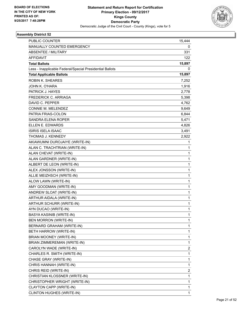

| PUBLIC COUNTER                                           | 15,444         |
|----------------------------------------------------------|----------------|
| MANUALLY COUNTED EMERGENCY                               | 0              |
| <b>ABSENTEE / MILITARY</b>                               | 331            |
| <b>AFFIDAVIT</b>                                         | 122            |
| <b>Total Ballots</b>                                     | 15,897         |
| Less - Inapplicable Federal/Special Presidential Ballots | 0              |
| <b>Total Applicable Ballots</b>                          | 15,897         |
| <b>ROBIN K. SHEARES</b>                                  | 7,252          |
| JOHN K. O'HARA                                           | 1,916          |
| PATRICK J. HAYES                                         | 2,778          |
| FREDERICK C. ARRIAGA                                     | 5,398          |
| DAVID C. PEPPER                                          | 4,762          |
| CONNIE M. MELENDEZ                                       | 9,649          |
| PATRIA FRIAS-COLON                                       | 6,844          |
| SANDRA ELENA ROPER                                       | 5,471          |
| ELLEN E. EDWARDS                                         | 4,826          |
| <b>ISIRIS ISELA ISAAC</b>                                | 3,491          |
| THOMAS J. KENNEDY                                        | 2,922          |
| AKIAWUMNI DUROJAIYE (WRITE-IN)                           | 1              |
| ALAN C. TRACHTRIAN (WRITE-IN)                            | $\mathbf{1}$   |
| ALAN CHEVAT (WRITE-IN)                                   | $\mathbf{1}$   |
| ALAN GARDNER (WRITE-IN)                                  | 1              |
| ALBERT DE LEON (WRITE-IN)                                | $\mathbf{1}$   |
| ALEX JONSSON (WRITE-IN)                                  | $\mathbf{1}$   |
| ALLIE MEIZHSCH (WRITE-IN)                                | 1              |
| ALOW LAWN (WRITE-IN)                                     | $\mathbf{1}$   |
| AMY GOODMAN (WRITE-IN)                                   | $\mathbf{1}$   |
| ANDREW SLOAT (WRITE-IN)                                  | 1              |
| ARTHUR AIDALA (WRITE-IN)                                 | $\mathbf{1}$   |
| ARTHUR SCHURR (WRITE-IN)                                 | $\mathbf{1}$   |
| AYN DUCAO (WRITE-IN)                                     | 1              |
| BASYA KASINIB (WRITE-IN)                                 | 1              |
| BEN MORRON (WRITE-IN)                                    | $\mathbf 1$    |
| BERNARD GRAHAM (WRITE-IN)                                | 1              |
| BETH HARROW (WRITE-IN)                                   | $\mathbf{1}$   |
| BRIAN MOONEY (WRITE-IN)                                  | 1              |
| BRIAN ZIMMEREMAN (WRITE-IN)                              | 1              |
| CAROLYN WADE (WRITE-IN)                                  | $\overline{2}$ |
| CHARLES R. SMITH (WRITE-IN)                              | 1              |
| CHASE GRAY (WRITE-IN)                                    | 1              |
| CHRIS HANNAH (WRITE-IN)                                  | $\mathbf{1}$   |
| CHRIS REID (WRITE-IN)                                    | 2              |
| CHRISTIAN KLOSSNER (WRITE-IN)                            | 1              |
| CHRISTOPHER WRIGHT (WRITE-IN)                            | $\mathbf{1}$   |
| CLAYTON CAPP (WRITE-IN)                                  | 1              |
| CLINTON HUGHES (WRITE-IN)                                | 1              |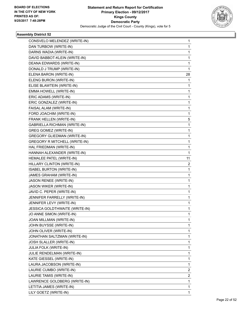

| CONSVELO MELENDEZ (WRITE-IN)         | $\mathbf 1$ |
|--------------------------------------|-------------|
| DAN TURBOW (WRITE-IN)                | 1           |
| DARNS WADIA (WRITE-IN)               | 1           |
| DAVID BABBOT-KLEIN (WRITE-IN)        | 1           |
| DEANA EDWARDS (WRITE-IN)             | 1           |
| DONALD J TRUMP (WRITE-IN)            | 1           |
| ELENA BARON (WRITE-IN)               | 28          |
| ELENG BURON (WRITE-IN)               | 1           |
| ELISE BLAWTEIN (WRITE-IN)            | 1           |
| EMMA HOWELL (WRITE-IN)               | 1           |
| ERIC ADAMS (WRITE-IN)                | 1           |
| ERIC GONZALEZ (WRITE-IN)             | 1           |
| FAISAL ALAM (WRITE-IN)               | 1           |
| FORD JOACHIM (WRITE-IN)              | 1           |
| FRANK HELLEN (WRITE-IN)              | 5           |
| <b>GABRIELLA RICHMAN (WRITE-IN)</b>  | 1           |
| <b>GREG GOMEZ (WRITE-IN)</b>         | 1           |
| <b>GREGORY GLIEDMAN (WRITE-IN)</b>   | 1           |
| <b>GREGORY R MITCHELL (WRITE-IN)</b> | 1           |
| HAL FRIEDMAN (WRITE-IN)              | 1           |
| HANNAH ALEXANDER (WRITE-IN)          | 1           |
| HEMALEE PATEL (WRITE-IN)             | 11          |
| HILLARY CLINTON (WRITE-IN)           | 2           |
| <b>ISABEL BURTON (WRITE-IN)</b>      | 1           |
| JAMES GRAHAM (WRITE-IN)              | 1           |
| JASON RENEE (WRITE-IN)               | 1           |
| JASON WIKER (WRITE-IN)               | 1           |
| JAVID C. PEPER (WRITE-IN)            | 1           |
| JENNIFER FARRELLY (WRITE-IN)         | 1           |
| JENNIFER LEVY (WRITE-IN)             | 1           |
| JESSICA GOLDTHWAITE (WRITE-IN)       | 1           |
| JO ANNE SIMON (WRITE-IN)             | 1           |
| JOAN MILLMAN (WRITE-IN)              | 1           |
| JOHN BUYSSE (WRITE-IN)               | 1           |
| JOHN OLIVER (WRITE-IN)               | 1           |
| JONATHAN SALTZMAN (WRITE-IN)         | 1           |
| JOSH SLALLER (WRITE-IN)              | 1           |
| JULIA FOLK (WRITE-IN)                | 1           |
| JULIE RENDELMAN (WRITE-IN)           | 1           |
| KATE GIESSEL (WRITE-IN)              | 1           |
| LAURA JACOBSON (WRITE-IN)            | 1           |
| LAURIE CUMBO (WRITE-IN)              | 2           |
| LAURIE TAMIS (WRITE-IN)              | 2           |
| LAWRENCE GOLDBERG (WRITE-IN)         | 1           |
| LETITIA JAMES (WRITE-IN)             | 1           |
| LILY GOETZ (WRITE-IN)                | 1           |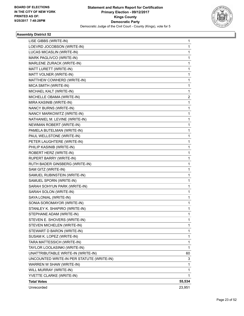

| LISE GIBBS (WRITE-IN)                     | 1      |
|-------------------------------------------|--------|
| LOEVRD JOCOBSON (WRITE-IN)                | 1      |
| LUCAS MICASLIN (WRITE-IN)                 | 1      |
| MARK PAGLIVCO (WRITE-IN)                  | 1      |
| MARLENE ZURACK (WRITE-IN)                 | 1      |
| MATT LURETT (WRITE-IN)                    | 1      |
| MATT VOLNER (WRITE-IN)                    | 1      |
| MATTHEW COWHERD (WRITE-IN)                | 1      |
| MICA SMITH (WRITE-IN)                     | 1      |
| MICHAEL KALT (WRITE-IN)                   | 1      |
| MICHELLE OBAMA (WRITE-IN)                 | 2      |
| MIRA KASINIB (WRITE-IN)                   | 1      |
| NANCY BURNS (WRITE-IN)                    | 1      |
| NANCY MARKOWITZ (WRITE-IN)                | 1      |
| NATHANIEL M. LEVINE (WRITE-IN)            | 1      |
| NEWMAN ROBERT (WRITE-IN)                  | 1      |
| PAMELA BUTELMAN (WRITE-IN)                | 1      |
| PAUL WELLSTONE (WRITE-IN)                 | 1      |
| PETER LAUGHTERE (WRITE-IN)                | 1      |
| PHILIP KASINIB (WRITE-IN)                 | 1      |
| ROBERT HERZ (WRITE-IN)                    | 1      |
| RUPERT BARRY (WRITE-IN)                   | 1      |
| RUTH BADER GINSBERG (WRITE-IN)            | 1      |
| SAM GITZ (WRITE-IN)                       | 1      |
| SAMUEL RUBINSTEIN (WRITE-IN)              | 1      |
| SAMUEL SPORN (WRITE-IN)                   | 1      |
| SARAH SOHYUN PARK (WRITE-IN)              | 1      |
| SARAH SOLON (WRITE-IN)                    | 1      |
| SAYA LONIAL (WRITE-IN)                    | 1      |
| SONIA SOROMAYOR (WRITE-IN)                | 1      |
| STANLEY K. SHAPIRO (WRITE-IN)             | 1      |
| STEPHANE ADAM (WRITE-IN)                  | 1      |
| STEVEN E. SHOVERS (WRITE-IN)              | 1      |
| STEVEN MICHELEN (WRITE-IN)                | 1      |
| STEWART D BARON (WRITE-IN)                | 1      |
| SUSAM K. LOPEZ (WRITE-IN)                 | 1      |
| TARA MATTESSICH (WRITE-IN)                | 1      |
| TAYLOR LOOLASINKI (WRITE-IN)              | 1      |
| UNATTRIBUTABLE WRITE-IN (WRITE-IN)        | 60     |
| UNCOUNTED WRITE-IN PER STATUTE (WRITE-IN) | 3      |
| WARREN W SHAW (WRITE-IN)                  | 1      |
| WILL MURRAY (WRITE-IN)                    | 1      |
| YVETTE CLARKE (WRITE-IN)                  | 1      |
| <b>Total Votes</b>                        | 55,534 |
| Unrecorded                                | 23,951 |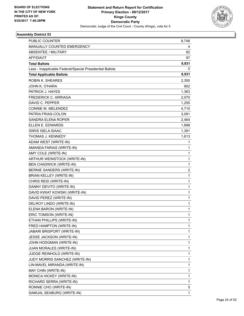

| PUBLIC COUNTER                                           | 8.748        |
|----------------------------------------------------------|--------------|
| MANUALLY COUNTED EMERGENCY                               | 4            |
| <b>ABSENTEE / MILITARY</b>                               | 82           |
| <b>AFFIDAVIT</b>                                         | 97           |
| <b>Total Ballots</b>                                     | 8,931        |
| Less - Inapplicable Federal/Special Presidential Ballots | 0            |
| <b>Total Applicable Ballots</b>                          | 8,931        |
| <b>ROBIN K. SHEARES</b>                                  | 2,350        |
| JOHN K. O'HARA                                           | 902          |
| PATRICK J. HAYES                                         | 1,363        |
| <b>FREDERICK C. ARRIAGA</b>                              | 2,070        |
| DAVID C. PEPPER                                          | 1,255        |
| <b>CONNIE M. MELENDEZ</b>                                | 4,710        |
| PATRIA FRIAS-COLON                                       | 3,091        |
| SANDRA ELENA ROPER                                       | 2,464        |
| ELLEN E. EDWARDS                                         | 1,898        |
| <b>ISIRIS ISELA ISAAC</b>                                | 1,391        |
| THOMAS J. KENNEDY                                        | 1,613        |
| ADAM WEST (WRITE-IN)                                     | 1            |
| AMANDA FARIAS (WRITE-IN)                                 | 1            |
| AMY COLE (WRITE-IN)                                      | 1            |
| ARTHUR WEINSTOCK (WRITE-IN)                              | 1            |
| <b>BEN CHADWICK (WRITE-IN)</b>                           | $\mathbf{1}$ |
| BERNIE SANDERS (WRITE-IN)                                | 2            |
| <b>BRIAN KELLEY (WRITE-IN)</b>                           | 1            |
| CHRIS REID (WRITE-IN)                                    | 1            |
| DANNY DEVITO (WRITE-IN)                                  | 1            |
| DAVID KWIAT KOWSKI (WRITE-IN)                            | 1            |
| DAVID PEREZ (WRITE-IN)                                   | $\mathbf{1}$ |
| DELROY LINDO (WRITE-IN)                                  | 1            |
| ELENA BARON (WRITE-IN)                                   | 1            |
| ERIC TOMSON (WRITE-IN)                                   | 1            |
| ETHAN PHILLIPS (WRITE-IN)                                | 1            |
| FRED HAMPTON (WRITE-IN)                                  | 1            |
| JABARI BRISPORT (WRITE-IN)                               | 1            |
| JESSE JACKSON (WRITE-IN)                                 | 1            |
| JOHN HODGMAN (WRITE-IN)                                  | 1            |
| <b>JUAN MORALES (WRITE-IN)</b>                           | 1            |
| JUDGE REINHOLD (WRITE-IN)                                | 1            |
| JUDY MORRIS SANCHEZ (WRITE-IN)                           | 1            |
| LIN-MAVEL MIRANDA (WRITE-IN)                             | 1            |
| MAY CHIN (WRITE-IN)                                      | 1            |
| MONICA HICKEY (WRITE-IN)                                 | 1            |
| RICHARD SERRA (WRITE-IN)                                 | 1            |
| RONNIE CHO (WRITE-IN)                                    | 5            |
| SAMUAL SEABURG (WRITE-IN)                                | $\mathbf{1}$ |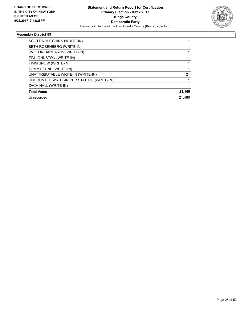

| SCOTT A HUTCHINS (WRITE-IN)               |        |
|-------------------------------------------|--------|
| SETH ROSENBERG (WRITE-IN)                 |        |
| SVETLIN BARDAROV (WRITE-IN)               |        |
| TIM JOHNSTON (WRITE-IN)                   |        |
| TIMM SNOW (WRITE-IN)                      |        |
| TOMMY TUNE (WRITE-IN)                     |        |
| UNATTRIBUTABLE WRITE-IN (WRITE-IN)        | 21     |
| UNCOUNTED WRITE-IN PER STATUTE (WRITE-IN) |        |
| ZACH HALL (WRITE-IN)                      |        |
| <b>Total Votes</b>                        | 23,169 |
| Unrecorded                                | 21.486 |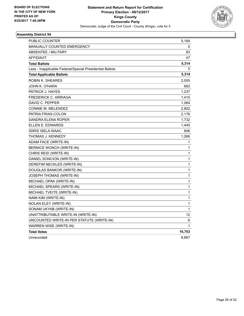

| <b>PUBLIC COUNTER</b>                                    | 5,184        |
|----------------------------------------------------------|--------------|
| <b>MANUALLY COUNTED EMERGENCY</b>                        | 0            |
| ABSENTEE / MILITARY                                      | 83           |
| <b>AFFIDAVIT</b>                                         | 47           |
| <b>Total Ballots</b>                                     | 5,314        |
| Less - Inapplicable Federal/Special Presidential Ballots | 0            |
| <b>Total Applicable Ballots</b>                          | 5,314        |
| <b>ROBIN K. SHEARES</b>                                  | 2,005        |
| JOHN K. O'HARA                                           | 683          |
| PATRICK J. HAYES                                         | 1,237        |
| FREDERICK C. ARRIAGA                                     | 1,415        |
| DAVID C. PEPPER                                          | 1,064        |
| <b>CONNIE M. MELENDEZ</b>                                | 2,802        |
| PATRIA FRIAS-COLON                                       | 2,176        |
| SANDRA ELENA ROPER                                       | 1,732        |
| ELLEN E. EDWARDS                                         | 1,445        |
| <b>ISIRIS ISELA ISAAC</b>                                | 846          |
| THOMAS J. KENNEDY                                        | 1,266        |
| ADAM FACE (WRITE-IN)                                     | 1            |
| <b>BERNICE WONCH (WRITE-IN)</b>                          | 1            |
| CHRIS REID (WRITE-IN)                                    | 1            |
| DANIEL SONCION (WRITE-IN)                                | 1            |
| DEREFIM NECKLES (WRITE-IN)                               | 1            |
| DOUGLAS BANKOR (WRITE-IN)                                | 1            |
| JOSEPH THOMAS (WRITE-IN)                                 | 1            |
| MICHAEL OPAK (WRITE-IN)                                  | $\mathbf 1$  |
| MICHAEL SPEARS (WRITE-IN)                                | $\mathbf{1}$ |
| MICHAEL TVEITE (WRITE-IN)                                | $\mathbf{1}$ |
| NAMI KIM (WRITE-IN)                                      | 1            |
| <b>NOLAN ELEY (WRITE-IN)</b>                             | 1            |
| SONAM UKYAB (WRITE-IN)                                   | 1            |
| UNATTRIBUTABLE WRITE-IN (WRITE-IN)                       | 12           |
| UNCOUNTED WRITE-IN PER STATUTE (WRITE-IN)                | 6            |
| WARREN WISE (WRITE-IN)                                   | 1            |
| <b>Total Votes</b>                                       | 16,703       |
| Unrecorded                                               | 9,867        |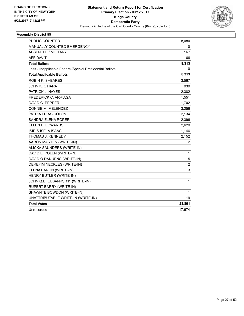

| <b>PUBLIC COUNTER</b>                                    | 8,080                   |
|----------------------------------------------------------|-------------------------|
| MANUALLY COUNTED EMERGENCY                               | 0                       |
| <b>ABSENTEE / MILITARY</b>                               | 167                     |
| <b>AFFIDAVIT</b>                                         | 66                      |
| <b>Total Ballots</b>                                     | 8,313                   |
| Less - Inapplicable Federal/Special Presidential Ballots | 0                       |
| <b>Total Applicable Ballots</b>                          | 8,313                   |
| <b>ROBIN K. SHEARES</b>                                  | 3,567                   |
| JOHN K. O'HARA                                           | 939                     |
| PATRICK J. HAYES                                         | 2,382                   |
| <b>FREDERICK C. ARRIAGA</b>                              | 1,551                   |
| DAVID C. PEPPER                                          | 1,702                   |
| CONNIE M. MELENDEZ                                       | 3,256                   |
| PATRIA FRIAS-COLON                                       | 2,134                   |
| <b>SANDRA ELENA ROPER</b>                                | 2,396                   |
| ELLEN E. EDWARDS                                         | 2,629                   |
| <b>ISIRIS ISELA ISAAC</b>                                | 1,146                   |
| THOMAS J. KENNEDY                                        | 2,152                   |
| AARON MARTEN (WRITE-IN)                                  | 2                       |
| ALICKA SAUNDERS (WRITE-IN)                               | 1                       |
| DAVID E. POLEN (WRITE-IN)                                | 1                       |
| DAVID O DANUENS (WRITE-IN)                               | 5                       |
| DEREFIM NECKLES (WRITE-IN)                               | $\overline{\mathbf{c}}$ |
| ELENA BARON (WRITE-IN)                                   | 3                       |
| HENRY BUTLER (WRITE-IN)                                  | 1                       |
| JOHN Q.E. EUBANKS 111 (WRITE-IN)                         | 1                       |
| <b>RUPERT BARRY (WRITE-IN)</b>                           | $\mathbf 1$             |
| SHAWNTE BOWDON (WRITE-IN)                                | 1                       |
| UNATTRIBUTABLE WRITE-IN (WRITE-IN)                       | 19                      |
| <b>Total Votes</b>                                       | 23,891                  |
| Unrecorded                                               | 17,674                  |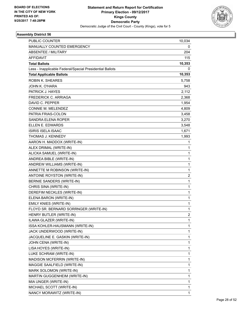

| PUBLIC COUNTER                                           | 10,034                  |
|----------------------------------------------------------|-------------------------|
| MANUALLY COUNTED EMERGENCY                               | 0                       |
| <b>ABSENTEE / MILITARY</b>                               | 204                     |
| AFFIDAVIT                                                | 115                     |
| <b>Total Ballots</b>                                     | 10,353                  |
| Less - Inapplicable Federal/Special Presidential Ballots | 0                       |
| <b>Total Applicable Ballots</b>                          | 10,353                  |
| <b>ROBIN K. SHEARES</b>                                  | 5,758                   |
| JOHN K. O'HARA                                           | 943                     |
| PATRICK J. HAYES                                         | 2,112                   |
| <b>FREDERICK C. ARRIAGA</b>                              | 2,368                   |
| DAVID C. PEPPER                                          | 1,954                   |
| CONNIE M. MELENDEZ                                       | 4,809                   |
| PATRIA FRIAS-COLON                                       | 3,458                   |
| <b>SANDRA ELENA ROPER</b>                                | 3,270                   |
| ELLEN E. EDWARDS                                         | 3,548                   |
| <b>ISIRIS ISELA ISAAC</b>                                | 1,671                   |
| THOMAS J. KENNEDY                                        | 1,993                   |
| AARON H. MADDOX (WRITE-IN)                               | 1                       |
| ALEX DRIMAL (WRITE-IN)                                   | $\mathbf{1}$            |
| ALICKA SAMUEL (WRITE-IN)                                 | 1                       |
| ANDREA BIBLE (WRITE-IN)                                  | 1                       |
| ANDREW WILLIAMS (WRITE-IN)                               | $\mathbf{1}$            |
| ANNETTE M ROBINSON (WRITE-IN)                            | 1                       |
| ANTOINE ROYSTON (WRITE-IN)                               | $\overline{\mathbf{c}}$ |
| BERNIE SANDERS (WRITE-IN)                                | $\mathbf{1}$            |
| CHRIS SINA (WRITE-IN)                                    | 1                       |
| DEREFIM NECKLES (WRITE-IN)                               | 1                       |
| ELENA BARON (WRITE-IN)                                   | $\mathbf{1}$            |
| EMILY KNIES (WRITE-IN)                                   | 1                       |
| FLOYD SR. BERNARD SORRNGER (WRITE-IN)                    | 1                       |
| <b>HENRY BUTLER (WRITE-IN)</b>                           | $\overline{2}$          |
| ILAWA GLAZER (WRITE-IN)                                  | 1                       |
| ISSA KOHLER-HAUSMANN (WRITE-IN)                          | 1                       |
| JACK UNDERWOOD (WRITE-IN)                                | 1                       |
| JACQUELINE E. GASKIN (WRITE-IN)                          | 1                       |
| JOHN CENA (WRITE-IN)                                     | 1                       |
| LISA HOYES (WRITE-IN)                                    | 1                       |
| LUKE SCHRAM (WRITE-IN)                                   | 1                       |
| MADISON MCFERRIN (WRITE-IN)                              | 1                       |
| MAGGIE SAALFIELD (WRITE-IN)                              | 1                       |
| MARK SOLOMON (WRITE-IN)                                  | 1                       |
| MARTIN GUGGENHEIM (WRITE-IN)                             | 1                       |
| MIA UNGER (WRITE-IN)                                     | 1                       |
| MICHAEL SCOTT (WRITE-IN)                                 | 1                       |
| NANCY MORAWITZ (WRITE-IN)                                | $\mathbf{1}$            |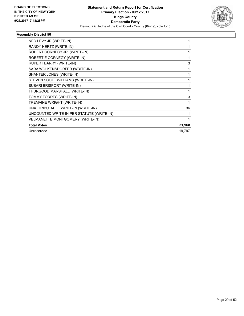

| NED LEVY JR (WRITE-IN)                    |        |
|-------------------------------------------|--------|
| RANDY HERTZ (WRITE-IN)                    |        |
| ROBERT CORNEGY JR. (WRITE-IN)             | 1      |
| ROBERTIE CORNEGY (WRITE-IN)               | 1      |
| RUPERT BARRY (WRITE-IN)                   | 3      |
| SARA WOLKENSDORFER (WRITE-IN)             | 1      |
| SHANTER JONES (WRITE-IN)                  |        |
| STEVEN SCOTT WILLIAMS (WRITE-IN)          |        |
| SUBARI BRISPORT (WRITE-IN)                |        |
| THURGOOD MARSHALL (WRITE-IN)              |        |
| TOMMY TORRES (WRITE-IN)                   | 3      |
| TREMAINE WRIGHT (WRITE-IN)                |        |
| UNATTRIBUTABLE WRITE-IN (WRITE-IN)        | 36     |
| UNCOUNTED WRITE-IN PER STATUTE (WRITE-IN) |        |
| VELMANETTE MONTGOMERY (WRITE-IN)          |        |
| <b>Total Votes</b>                        | 31,968 |
| Unrecorded                                | 19,797 |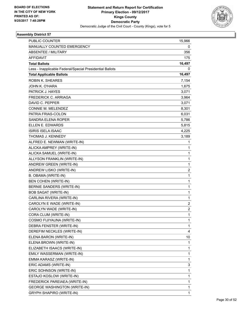

| <b>PUBLIC COUNTER</b>                                    | 15,966                  |
|----------------------------------------------------------|-------------------------|
| MANUALLY COUNTED EMERGENCY                               | 0                       |
| <b>ABSENTEE / MILITARY</b>                               | 356                     |
| AFFIDAVIT                                                | 175                     |
| <b>Total Ballots</b>                                     | 16,497                  |
| Less - Inapplicable Federal/Special Presidential Ballots | 0                       |
| <b>Total Applicable Ballots</b>                          | 16,497                  |
| <b>ROBIN K. SHEARES</b>                                  | 7,154                   |
| JOHN K. O'HARA                                           | 1,675                   |
| PATRICK J. HAYES                                         | 3,071                   |
| <b>FREDERICK C. ARRIAGA</b>                              | 3,964                   |
| DAVID C. PEPPER                                          | 3,071                   |
| <b>CONNIE M. MELENDEZ</b>                                | 8,301                   |
| PATRIA FRIAS-COLON                                       | 6,031                   |
| SANDRA ELENA ROPER                                       | 5,786                   |
| ELLEN E. EDWARDS                                         | 5,815                   |
| <b>ISIRIS ISELA ISAAC</b>                                | 4,225                   |
| THOMAS J. KENNEDY                                        | 3,189                   |
| ALFRED E. NEWMAN (WRITE-IN)                              | 1                       |
| ALICKA AMPREY (WRITE-IN)                                 | $\mathbf{1}$            |
| ALICKA SAMUEL (WRITE-IN)                                 | 1                       |
| ALLYSON FRANKLIN (WRITE-IN)                              | 1                       |
| ANDREW GREEN (WRITE-IN)                                  | $\mathbf{1}$            |
| ANDREW LISKO (WRITE-IN)                                  | 2                       |
| B. OBAMA (WRITE-IN)                                      | 1                       |
| <b>BEN COHEN (WRITE-IN)</b>                              | $\mathbf{1}$            |
| BERNIE SANDERS (WRITE-IN)                                | 1                       |
| <b>BOB SAGAT (WRITE-IN)</b>                              | 1                       |
| CARLINA RIVERA (WRITE-IN)                                | $\mathbf{1}$            |
| CAROLYN E WADE (WRITE-IN)                                | 2                       |
| CAROLYN WADE (WRITE-IN)                                  | $\overline{\mathbf{c}}$ |
| CORA CLUM (WRITE-IN)                                     | 1                       |
| COSMO FIJIYAUNA (WRITE-IN)                               | 1                       |
| DEBRA FENSTER (WRITE-IN)                                 | 1                       |
| DEREFIM NECKLES (WRITE-IN)                               | 4                       |
| ELENA BARON (WRITE-IN)                                   | 10                      |
| ELENA BROWN (WRITE-IN)                                   | 1                       |
| ELIZABETH ISAACS (WRITE-IN)                              | 1                       |
| EMILY WASSERMAN (WRITE-IN)                               | 1                       |
| EMMA KARASZ (WRITE-IN)                                   | 1                       |
| ERIC ADAMS (WRITE-IN)                                    | 3                       |
| ERIC SOHNSON (WRITE-IN)                                  | 1                       |
| ESTAJO KOSLOW (WRITE-IN)                                 | 1                       |
| FREDERICK PAREIAEA (WRITE-IN)                            | 1                       |
| <b>GEORGE WASHINGTON (WRITE-IN)</b>                      | 1                       |
| <b>GRYPH SHAPIRO (WRITE-IN)</b>                          | $\mathbf{1}$            |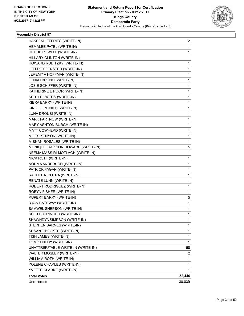

| HAKEEM JEFFRIES (WRITE-IN)         | $\overline{2}$ |
|------------------------------------|----------------|
| HEMALEE PATEL (WRITE-IN)           | 1              |
| HETTIE POWELL (WRITE-IN)           | 1              |
| HILLARY CLINTON (WRITE-IN)         | 1              |
| HOWARD RUDITZKY (WRITE-IN)         | 1              |
| JEFFREY FENSTER (WRITE-IN)         | 1              |
| JEREMY A HOFFMAN (WRITE-IN)        | 1              |
| JONAH BRUNO (WRITE-IN)             | 1              |
| JOSIE SCHIFFER (WRITE-IN)          | 1              |
| KATHERINE E POOR (WRITE-IN)        | 1              |
| KEITH POWERS (WRITE-IN)            | 1              |
| KIERA BARRY (WRITE-IN)             | 1              |
| KING FLIPPINIPS (WRITE-IN)         | 1              |
| LUNA DROUBI (WRITE-IN)             | 1              |
| MARK PARTNOW (WRITE-IN)            | 1              |
| MARY ASHTON BURGH (WRITE-IN)       | 1              |
| MATT COWHERD (WRITE-IN)            | 1              |
| MILES KENYON (WRITE-IN)            | 1              |
| MISNAN ROSALES (WRITE-IN)          | 1              |
| MONIQUE JACKSON HOWARD (WRITE-IN)  | 5              |
| NEEMA MASSIRI-MOTLAGH (WRITE-IN)   | 1              |
| NICK ROTF (WRITE-IN)               | 1              |
| NORMA ANDERSON (WRITE-IN)          | 1              |
| PATRICK FAGAN (WRITE-IN)           | 1              |
| RACHEL NICOTRA (WRITE-IN)          | 1              |
| RENATE LUNN (WRITE-IN)             | 1              |
| ROBERT RODRIGUEZ (WRITE-IN)        | 1              |
| ROBYN FISHER (WRITE-IN)            | 1              |
| RUPERT BARRY (WRITE-IN)            | 5              |
| RYAN BATHWAY (WRITE-IN)            | 1              |
| SAMWEL SHEPSON (WRITE-IN)          | 1              |
| SCOTT STRINGER (WRITE-IN)          | 1              |
| SHAWNDYA SIMPSON (WRITE-IN)        | 1              |
| STEPHEN BARNES (WRITE-IN)          | 1              |
| SUSAN T BECKER (WRITE-IN)          | 1              |
| TISH JAMES (WRITE-IN)              | 1              |
| TOM KENEDY (WRITE-IN)              | 1              |
| UNATTRIBUTABLE WRITE-IN (WRITE-IN) | 68             |
| WALTER MOSLEY (WRITE-IN)           | 2              |
| WILLIAM ROTH (WRITE-IN)            | 1              |
| YOLENE CHARLES (WRITE-IN)          | 1              |
| YVETTE CLARKE (WRITE-IN)           | 1              |
| <b>Total Votes</b>                 | 52,446         |
| Unrecorded                         | 30,039         |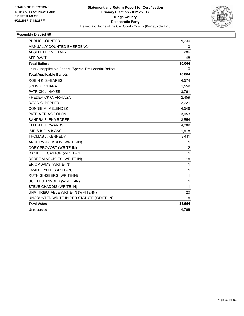

| <b>PUBLIC COUNTER</b>                                    | 9,730          |
|----------------------------------------------------------|----------------|
| MANUALLY COUNTED EMERGENCY                               | 0              |
| <b>ABSENTEE / MILITARY</b>                               | 286            |
| <b>AFFIDAVIT</b>                                         | 48             |
| <b>Total Ballots</b>                                     | 10,064         |
| Less - Inapplicable Federal/Special Presidential Ballots | 0              |
| <b>Total Applicable Ballots</b>                          | 10,064         |
| <b>ROBIN K. SHEARES</b>                                  | 4,574          |
| JOHN K. O'HARA                                           | 1,559          |
| PATRICK J. HAYES                                         | 3,761          |
| <b>FREDERICK C. ARRIAGA</b>                              | 2,459          |
| DAVID C. PEPPER                                          | 2.721          |
| CONNIE M. MELENDEZ                                       | 4,546          |
| PATRIA FRIAS-COLON                                       | 3,053          |
| <b>SANDRA ELENA ROPER</b>                                | 3,554          |
| ELLEN E. EDWARDS                                         | 4,289          |
| <b>ISIRIS ISELA ISAAC</b>                                | 1,578          |
| THOMAS J. KENNEDY                                        | 3,411          |
| ANDREW JACKSON (WRITE-IN)                                | 1              |
| CORY PROVOST (WRITE-IN)                                  | $\overline{c}$ |
| DANIELLE CASTOR (WRITE-IN)                               | 1              |
| DEREFIM NECKLES (WRITE-IN)                               | 15             |
| ERIC ADAMS (WRITE-IN)                                    | 1              |
| JAMES FYFLE (WRITE-IN)                                   | 1              |
| RUTH GINSBERG (WRITE-IN)                                 | 1              |
| SCOTT STRINGER (WRITE-IN)                                | 1              |
| STEVE CHADDIS (WRITE-IN)                                 | 1              |
| UNATTRIBUTABLE WRITE-IN (WRITE-IN)                       | 20             |
| UNCOUNTED WRITE-IN PER STATUTE (WRITE-IN)                | 5              |
| <b>Total Votes</b>                                       | 35,554         |
| Unrecorded                                               | 14,766         |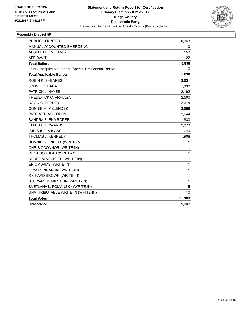

| <b>PUBLIC COUNTER</b>                                    | 6,663        |
|----------------------------------------------------------|--------------|
| MANUALLY COUNTED EMERGENCY                               | 0            |
| <b>ABSENTEE / MILITARY</b>                               | 153          |
| <b>AFFIDAVIT</b>                                         | 22           |
| <b>Total Ballots</b>                                     | 6,838        |
| Less - Inapplicable Federal/Special Presidential Ballots | 0            |
| <b>Total Applicable Ballots</b>                          | 6,838        |
| <b>ROBIN K. SHEARES</b>                                  | 3,631        |
| JOHN K. O'HARA                                           | 1,330        |
| PATRICK J. HAYES                                         | 2,192        |
| <b>FREDERICK C. ARRIAGA</b>                              | 2,500        |
| DAVID C. PEPPER                                          | 2,614        |
| CONNIE M. MELENDEZ                                       | 3,689        |
| PATRIA FRIAS-COLON                                       | 2,644        |
| <b>SANDRA ELENA ROPER</b>                                | 1,830        |
| ELLEN E. EDWARDS                                         | 2,073        |
| <b>ISIRIS ISELA ISAAC</b>                                | 749          |
| THOMAS J. KENNEDY                                        | 1,908        |
| <b>BONNIE BLONDELL (WRITE-IN)</b>                        | 1            |
| CHRIS OCONNOR (WRITE-IN)                                 | 1            |
| DENA DOUGLAS (WRITE-IN)                                  | 1            |
| DEREFIM NECKLES (WRITE-IN)                               | $\mathbf{1}$ |
| ERIC ADAMS (WRITE-IN)                                    | $\mathbf{1}$ |
| LEYA PONNANSKI (WRITE-IN)                                | 1            |
| RICHARD BROWN (WRITE-IN)                                 | 1            |
| STEWART B. MILSTEIN (WRITE-IN)                           | $\mathbf{1}$ |
| SVETLANA L. POMANSKY (WRITE-IN)                          | 5            |
| UNATTRIBUTABLE WRITE-IN (WRITE-IN)                       | 10           |
| <b>Total Votes</b>                                       | 25,183       |
| Unrecorded                                               | 9,007        |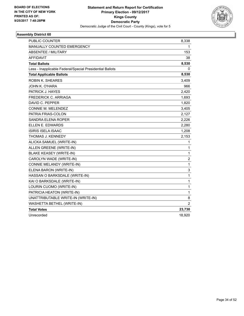

| <b>PUBLIC COUNTER</b>                                    | 8,338          |
|----------------------------------------------------------|----------------|
| MANUALLY COUNTED EMERGENCY                               | 1              |
| <b>ABSENTEE / MILITARY</b>                               | 153            |
| <b>AFFIDAVIT</b>                                         | 38             |
| <b>Total Ballots</b>                                     | 8,530          |
| Less - Inapplicable Federal/Special Presidential Ballots | 0              |
| <b>Total Applicable Ballots</b>                          | 8,530          |
| <b>ROBIN K. SHEARES</b>                                  | 3,409          |
| JOHN K. O'HARA                                           | 966            |
| PATRICK J. HAYES                                         | 2,420          |
| <b>FREDERICK C. ARRIAGA</b>                              | 1,693          |
| DAVID C. PEPPER                                          | 1,820          |
| <b>CONNIE M. MELENDEZ</b>                                | 3,405          |
| PATRIA FRIAS-COLON                                       | 2,127          |
| SANDRA ELENA ROPER                                       | 2,226          |
| ELLEN E. EDWARDS                                         | 2,280          |
| <b>ISIRIS ISELA ISAAC</b>                                | 1,208          |
| <b>THOMAS J. KENNEDY</b>                                 | 2,153          |
| ALICKA SAMUEL (WRITE-IN)                                 | 1              |
| ALLEN GREENE (WRITE-IN)                                  | $\mathbf{1}$   |
| <b>BLAKE KEASEY (WRITE-IN)</b>                           | $\mathbf{1}$   |
| CAROLYN WADE (WRITE-IN)                                  | $\overline{c}$ |
| CONNIE MELANDY (WRITE-IN)                                | $\mathbf{1}$   |
| ELENA BARON (WRITE-IN)                                   | 3              |
| HASSAN O BARKSDALE (WRITE-IN)                            | $\mathbf{1}$   |
| KAI O BARKSDALE (WRITE-IN)                               | $\mathbf{1}$   |
| LOURIN CUOMO (WRITE-IN)                                  | $\mathbf{1}$   |
| PATRICIA HEATON (WRITE-IN)                               | $\mathbf{1}$   |
| UNATTRIBUTABLE WRITE-IN (WRITE-IN)                       | 8              |
| WASHETTA BETHEL (WRITE-IN)                               | $\overline{2}$ |
| <b>Total Votes</b>                                       | 23,730         |
| Unrecorded                                               | 18,920         |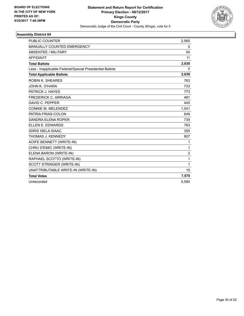

| <b>PUBLIC COUNTER</b>                                    | 2,565          |
|----------------------------------------------------------|----------------|
| <b>MANUALLY COUNTED EMERGENCY</b>                        | 0              |
| <b>ABSENTEE / MILITARY</b>                               | 54             |
| <b>AFFIDAVIT</b>                                         | 11             |
| <b>Total Ballots</b>                                     | 2,630          |
| Less - Inapplicable Federal/Special Presidential Ballots | 0              |
| <b>Total Applicable Ballots</b>                          | 2,630          |
| <b>ROBIN K. SHEARES</b>                                  | 763            |
| JOHN K. O'HARA                                           | 733            |
| PATRICK J. HAYES                                         | 773            |
| <b>FREDERICK C. ARRIAGA</b>                              | 481            |
| DAVID C. PEPPER                                          | 445            |
| <b>CONNIE M. MELENDEZ</b>                                | 1,041          |
| PATRIA FRIAS-COLON                                       | 649            |
| SANDRA ELENA ROPER                                       | 739            |
| ELLEN E. EDWARDS                                         | 763            |
| <b>ISIRIS ISELA ISAAC</b>                                | 355            |
| THOMAS J. KENNEDY                                        | 807            |
| AOIFE BENNETT (WRITE-IN)                                 | 1              |
| CHRU D'EMIC (WRITE-IN)                                   | 1              |
| ELENA BARON (WRITE-IN)                                   | $\overline{2}$ |
| RAPHAEL SCOTTO (WRITE-IN)                                | 1              |
| SCOTT STRINGER (WRITE-IN)                                | 1              |
| UNATTRIBUTABLE WRITE-IN (WRITE-IN)                       | 15             |
| <b>Total Votes</b>                                       | 7,570          |
| Unrecorded                                               | 5,580          |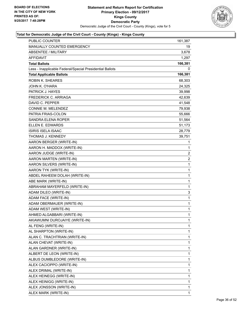

| MANUALLY COUNTED EMERGENCY<br>19<br><b>ABSENTEE / MILITARY</b><br>3,678<br>AFFIDAVIT<br>1,297<br><b>Total Ballots</b><br>166,381<br>Less - Inapplicable Federal/Special Presidential Ballots<br>0<br><b>Total Applicable Ballots</b><br>166,381<br><b>ROBIN K. SHEARES</b><br>68,303<br>JOHN K. O'HARA<br>24,325<br>PATRICK J. HAYES<br>39,998<br><b>FREDERICK C. ARRIAGA</b><br>42,639<br>DAVID C. PEPPER<br>41,548<br><b>CONNIE M. MELENDEZ</b><br>79,938<br>PATRIA FRIAS-COLON<br>55,666<br>SANDRA ELENA ROPER<br>51,564<br>ELLEN E. EDWARDS<br>51,173<br><b>ISIRIS ISELA ISAAC</b><br>28,779<br>THOMAS J. KENNEDY<br>39,751<br>AARON BERGER (WRITE-IN)<br>1<br>AARON H. MADDOX (WRITE-IN)<br>1<br>AARON JUDGE (WRITE-IN)<br>2<br>$\overline{\mathbf{c}}$<br>AARON MARTEN (WRITE-IN)<br>AARON SILVERS (WRITE-IN)<br>1<br>AARON TYK (WRITE-IN)<br>1<br>ABDEL RAHEEM DOLAH (WRITE-IN)<br>$\mathbf{1}$<br>ABE MARK (WRITE-IN)<br>$\mathbf 1$<br>ABRAHAM MAYERFELD (WRITE-IN)<br>$\mathbf 1$<br>3<br>ADAM DILEO (WRITE-IN)<br>$\mathbf{1}$<br>ADAM FACE (WRITE-IN)<br>1<br>ADAM OBERMAUER (WRITE-IN)<br>ADAM WEST (WRITE-IN)<br>1<br>AHMED ALGABBARI (WRITE-IN)<br>$\mathbf{1}$<br>AKIAWUMNI DUROJAIYE (WRITE-IN)<br>1<br>AL FENG (WRITE-IN)<br>1<br>AL SHARPTON (WRITE-IN)<br>1<br>ALAN C. TRACHTRIAN (WRITE-IN)<br>1<br>1<br>ALAN CHEVAT (WRITE-IN)<br>ALAN GARDNER (WRITE-IN)<br>1<br>ALBERT DE LEON (WRITE-IN)<br>1<br>ALBUS DUMBLEDORE (WRITE-IN)<br>1<br>ALEX CACIOPPO (WRITE-IN)<br>1<br>ALEX DRIMAL (WRITE-IN)<br>1<br>1<br>ALEX HEINEGG (WRITE-IN)<br>ALEX HEINIGG (WRITE-IN)<br>1<br>ALEX JONSSON (WRITE-IN)<br>1<br>ALEX MARK (WRITE-IN)<br>1 | <b>PUBLIC COUNTER</b> | 161,387 |
|---------------------------------------------------------------------------------------------------------------------------------------------------------------------------------------------------------------------------------------------------------------------------------------------------------------------------------------------------------------------------------------------------------------------------------------------------------------------------------------------------------------------------------------------------------------------------------------------------------------------------------------------------------------------------------------------------------------------------------------------------------------------------------------------------------------------------------------------------------------------------------------------------------------------------------------------------------------------------------------------------------------------------------------------------------------------------------------------------------------------------------------------------------------------------------------------------------------------------------------------------------------------------------------------------------------------------------------------------------------------------------------------------------------------------------------------------------------------------------------------------------------------------------------------------------------------------------------------------------------------------------------------------------|-----------------------|---------|
|                                                                                                                                                                                                                                                                                                                                                                                                                                                                                                                                                                                                                                                                                                                                                                                                                                                                                                                                                                                                                                                                                                                                                                                                                                                                                                                                                                                                                                                                                                                                                                                                                                                         |                       |         |
|                                                                                                                                                                                                                                                                                                                                                                                                                                                                                                                                                                                                                                                                                                                                                                                                                                                                                                                                                                                                                                                                                                                                                                                                                                                                                                                                                                                                                                                                                                                                                                                                                                                         |                       |         |
|                                                                                                                                                                                                                                                                                                                                                                                                                                                                                                                                                                                                                                                                                                                                                                                                                                                                                                                                                                                                                                                                                                                                                                                                                                                                                                                                                                                                                                                                                                                                                                                                                                                         |                       |         |
|                                                                                                                                                                                                                                                                                                                                                                                                                                                                                                                                                                                                                                                                                                                                                                                                                                                                                                                                                                                                                                                                                                                                                                                                                                                                                                                                                                                                                                                                                                                                                                                                                                                         |                       |         |
|                                                                                                                                                                                                                                                                                                                                                                                                                                                                                                                                                                                                                                                                                                                                                                                                                                                                                                                                                                                                                                                                                                                                                                                                                                                                                                                                                                                                                                                                                                                                                                                                                                                         |                       |         |
|                                                                                                                                                                                                                                                                                                                                                                                                                                                                                                                                                                                                                                                                                                                                                                                                                                                                                                                                                                                                                                                                                                                                                                                                                                                                                                                                                                                                                                                                                                                                                                                                                                                         |                       |         |
|                                                                                                                                                                                                                                                                                                                                                                                                                                                                                                                                                                                                                                                                                                                                                                                                                                                                                                                                                                                                                                                                                                                                                                                                                                                                                                                                                                                                                                                                                                                                                                                                                                                         |                       |         |
|                                                                                                                                                                                                                                                                                                                                                                                                                                                                                                                                                                                                                                                                                                                                                                                                                                                                                                                                                                                                                                                                                                                                                                                                                                                                                                                                                                                                                                                                                                                                                                                                                                                         |                       |         |
|                                                                                                                                                                                                                                                                                                                                                                                                                                                                                                                                                                                                                                                                                                                                                                                                                                                                                                                                                                                                                                                                                                                                                                                                                                                                                                                                                                                                                                                                                                                                                                                                                                                         |                       |         |
|                                                                                                                                                                                                                                                                                                                                                                                                                                                                                                                                                                                                                                                                                                                                                                                                                                                                                                                                                                                                                                                                                                                                                                                                                                                                                                                                                                                                                                                                                                                                                                                                                                                         |                       |         |
|                                                                                                                                                                                                                                                                                                                                                                                                                                                                                                                                                                                                                                                                                                                                                                                                                                                                                                                                                                                                                                                                                                                                                                                                                                                                                                                                                                                                                                                                                                                                                                                                                                                         |                       |         |
|                                                                                                                                                                                                                                                                                                                                                                                                                                                                                                                                                                                                                                                                                                                                                                                                                                                                                                                                                                                                                                                                                                                                                                                                                                                                                                                                                                                                                                                                                                                                                                                                                                                         |                       |         |
|                                                                                                                                                                                                                                                                                                                                                                                                                                                                                                                                                                                                                                                                                                                                                                                                                                                                                                                                                                                                                                                                                                                                                                                                                                                                                                                                                                                                                                                                                                                                                                                                                                                         |                       |         |
|                                                                                                                                                                                                                                                                                                                                                                                                                                                                                                                                                                                                                                                                                                                                                                                                                                                                                                                                                                                                                                                                                                                                                                                                                                                                                                                                                                                                                                                                                                                                                                                                                                                         |                       |         |
|                                                                                                                                                                                                                                                                                                                                                                                                                                                                                                                                                                                                                                                                                                                                                                                                                                                                                                                                                                                                                                                                                                                                                                                                                                                                                                                                                                                                                                                                                                                                                                                                                                                         |                       |         |
|                                                                                                                                                                                                                                                                                                                                                                                                                                                                                                                                                                                                                                                                                                                                                                                                                                                                                                                                                                                                                                                                                                                                                                                                                                                                                                                                                                                                                                                                                                                                                                                                                                                         |                       |         |
|                                                                                                                                                                                                                                                                                                                                                                                                                                                                                                                                                                                                                                                                                                                                                                                                                                                                                                                                                                                                                                                                                                                                                                                                                                                                                                                                                                                                                                                                                                                                                                                                                                                         |                       |         |
|                                                                                                                                                                                                                                                                                                                                                                                                                                                                                                                                                                                                                                                                                                                                                                                                                                                                                                                                                                                                                                                                                                                                                                                                                                                                                                                                                                                                                                                                                                                                                                                                                                                         |                       |         |
|                                                                                                                                                                                                                                                                                                                                                                                                                                                                                                                                                                                                                                                                                                                                                                                                                                                                                                                                                                                                                                                                                                                                                                                                                                                                                                                                                                                                                                                                                                                                                                                                                                                         |                       |         |
|                                                                                                                                                                                                                                                                                                                                                                                                                                                                                                                                                                                                                                                                                                                                                                                                                                                                                                                                                                                                                                                                                                                                                                                                                                                                                                                                                                                                                                                                                                                                                                                                                                                         |                       |         |
|                                                                                                                                                                                                                                                                                                                                                                                                                                                                                                                                                                                                                                                                                                                                                                                                                                                                                                                                                                                                                                                                                                                                                                                                                                                                                                                                                                                                                                                                                                                                                                                                                                                         |                       |         |
|                                                                                                                                                                                                                                                                                                                                                                                                                                                                                                                                                                                                                                                                                                                                                                                                                                                                                                                                                                                                                                                                                                                                                                                                                                                                                                                                                                                                                                                                                                                                                                                                                                                         |                       |         |
|                                                                                                                                                                                                                                                                                                                                                                                                                                                                                                                                                                                                                                                                                                                                                                                                                                                                                                                                                                                                                                                                                                                                                                                                                                                                                                                                                                                                                                                                                                                                                                                                                                                         |                       |         |
|                                                                                                                                                                                                                                                                                                                                                                                                                                                                                                                                                                                                                                                                                                                                                                                                                                                                                                                                                                                                                                                                                                                                                                                                                                                                                                                                                                                                                                                                                                                                                                                                                                                         |                       |         |
|                                                                                                                                                                                                                                                                                                                                                                                                                                                                                                                                                                                                                                                                                                                                                                                                                                                                                                                                                                                                                                                                                                                                                                                                                                                                                                                                                                                                                                                                                                                                                                                                                                                         |                       |         |
|                                                                                                                                                                                                                                                                                                                                                                                                                                                                                                                                                                                                                                                                                                                                                                                                                                                                                                                                                                                                                                                                                                                                                                                                                                                                                                                                                                                                                                                                                                                                                                                                                                                         |                       |         |
|                                                                                                                                                                                                                                                                                                                                                                                                                                                                                                                                                                                                                                                                                                                                                                                                                                                                                                                                                                                                                                                                                                                                                                                                                                                                                                                                                                                                                                                                                                                                                                                                                                                         |                       |         |
|                                                                                                                                                                                                                                                                                                                                                                                                                                                                                                                                                                                                                                                                                                                                                                                                                                                                                                                                                                                                                                                                                                                                                                                                                                                                                                                                                                                                                                                                                                                                                                                                                                                         |                       |         |
|                                                                                                                                                                                                                                                                                                                                                                                                                                                                                                                                                                                                                                                                                                                                                                                                                                                                                                                                                                                                                                                                                                                                                                                                                                                                                                                                                                                                                                                                                                                                                                                                                                                         |                       |         |
|                                                                                                                                                                                                                                                                                                                                                                                                                                                                                                                                                                                                                                                                                                                                                                                                                                                                                                                                                                                                                                                                                                                                                                                                                                                                                                                                                                                                                                                                                                                                                                                                                                                         |                       |         |
|                                                                                                                                                                                                                                                                                                                                                                                                                                                                                                                                                                                                                                                                                                                                                                                                                                                                                                                                                                                                                                                                                                                                                                                                                                                                                                                                                                                                                                                                                                                                                                                                                                                         |                       |         |
|                                                                                                                                                                                                                                                                                                                                                                                                                                                                                                                                                                                                                                                                                                                                                                                                                                                                                                                                                                                                                                                                                                                                                                                                                                                                                                                                                                                                                                                                                                                                                                                                                                                         |                       |         |
|                                                                                                                                                                                                                                                                                                                                                                                                                                                                                                                                                                                                                                                                                                                                                                                                                                                                                                                                                                                                                                                                                                                                                                                                                                                                                                                                                                                                                                                                                                                                                                                                                                                         |                       |         |
|                                                                                                                                                                                                                                                                                                                                                                                                                                                                                                                                                                                                                                                                                                                                                                                                                                                                                                                                                                                                                                                                                                                                                                                                                                                                                                                                                                                                                                                                                                                                                                                                                                                         |                       |         |
|                                                                                                                                                                                                                                                                                                                                                                                                                                                                                                                                                                                                                                                                                                                                                                                                                                                                                                                                                                                                                                                                                                                                                                                                                                                                                                                                                                                                                                                                                                                                                                                                                                                         |                       |         |
|                                                                                                                                                                                                                                                                                                                                                                                                                                                                                                                                                                                                                                                                                                                                                                                                                                                                                                                                                                                                                                                                                                                                                                                                                                                                                                                                                                                                                                                                                                                                                                                                                                                         |                       |         |
|                                                                                                                                                                                                                                                                                                                                                                                                                                                                                                                                                                                                                                                                                                                                                                                                                                                                                                                                                                                                                                                                                                                                                                                                                                                                                                                                                                                                                                                                                                                                                                                                                                                         |                       |         |
|                                                                                                                                                                                                                                                                                                                                                                                                                                                                                                                                                                                                                                                                                                                                                                                                                                                                                                                                                                                                                                                                                                                                                                                                                                                                                                                                                                                                                                                                                                                                                                                                                                                         |                       |         |
|                                                                                                                                                                                                                                                                                                                                                                                                                                                                                                                                                                                                                                                                                                                                                                                                                                                                                                                                                                                                                                                                                                                                                                                                                                                                                                                                                                                                                                                                                                                                                                                                                                                         |                       |         |
|                                                                                                                                                                                                                                                                                                                                                                                                                                                                                                                                                                                                                                                                                                                                                                                                                                                                                                                                                                                                                                                                                                                                                                                                                                                                                                                                                                                                                                                                                                                                                                                                                                                         |                       |         |
|                                                                                                                                                                                                                                                                                                                                                                                                                                                                                                                                                                                                                                                                                                                                                                                                                                                                                                                                                                                                                                                                                                                                                                                                                                                                                                                                                                                                                                                                                                                                                                                                                                                         |                       |         |
|                                                                                                                                                                                                                                                                                                                                                                                                                                                                                                                                                                                                                                                                                                                                                                                                                                                                                                                                                                                                                                                                                                                                                                                                                                                                                                                                                                                                                                                                                                                                                                                                                                                         |                       |         |
|                                                                                                                                                                                                                                                                                                                                                                                                                                                                                                                                                                                                                                                                                                                                                                                                                                                                                                                                                                                                                                                                                                                                                                                                                                                                                                                                                                                                                                                                                                                                                                                                                                                         |                       |         |
|                                                                                                                                                                                                                                                                                                                                                                                                                                                                                                                                                                                                                                                                                                                                                                                                                                                                                                                                                                                                                                                                                                                                                                                                                                                                                                                                                                                                                                                                                                                                                                                                                                                         |                       |         |
|                                                                                                                                                                                                                                                                                                                                                                                                                                                                                                                                                                                                                                                                                                                                                                                                                                                                                                                                                                                                                                                                                                                                                                                                                                                                                                                                                                                                                                                                                                                                                                                                                                                         |                       |         |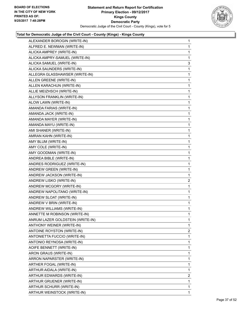

| ALEXANDER BOROGIN (WRITE-IN)     | 1                       |
|----------------------------------|-------------------------|
| ALFRED E. NEWMAN (WRITE-IN)      | 1                       |
| ALICKA AMPREY (WRITE-IN)         | 1                       |
| ALICKA AMPRY-SAMUEL (WRITE-IN)   | 1                       |
| ALICKA SAMUEL (WRITE-IN)         | 3                       |
| ALICKA SAUNDERS (WRITE-IN)       | 1                       |
| ALLEGRA GLASSHAWSER (WRITE-IN)   | 1                       |
| ALLEN GREENE (WRITE-IN)          | 1                       |
| ALLEN KARACHUN (WRITE-IN)        | 1                       |
| ALLIE MEIZHSCH (WRITE-IN)        | 1                       |
| ALLYSON FRANKLIN (WRITE-IN)      | 1                       |
| ALOW LAWN (WRITE-IN)             | 1                       |
| AMANDA FARIAS (WRITE-IN)         | 1                       |
| AMANDA JACK (WRITE-IN)           | 1                       |
| AMANDA MAYER (WRITE-IN)          | 1                       |
| AMANDA MAYU (WRITE-IN)           | 1                       |
| AMI SHANER (WRITE-IN)            | 1                       |
| AMRAN KAHN (WRITE-IN)            | 1                       |
| AMY BLUM (WRITE-IN)              | 1                       |
| AMY COLE (WRITE-IN)              | 1                       |
| AMY GOODMAN (WRITE-IN)           | 1                       |
| ANDREA BIBLE (WRITE-IN)          | 1                       |
| ANDRES RODRIGUEZ (WRITE-IN)      | 1                       |
| ANDREW GREEN (WRITE-IN)          | 1                       |
| ANDREW JACKSON (WRITE-IN)        | 1                       |
| ANDREW LISKO (WRITE-IN)          | $\overline{\mathbf{c}}$ |
| ANDREW MCGORY (WRITE-IN)         | 1                       |
| ANDREW NAPOLITANO (WRITE-IN)     | 1                       |
| ANDREW SLOAT (WRITE-IN)          | 1                       |
| ANDREW V BRIN (WRITE-IN)         | 1                       |
| ANDREW WILLIAMS (WRITE-IN)       | 1                       |
| ANNETTE M ROBINSON (WRITE-IN)    | 1                       |
| ANRUM LAZER GOLDSTEIN (WRITE-IN) | 1                       |
| ANTHONY WEINER (WRITE-IN)        | 1                       |
| ANTOINE ROYSTON (WRITE-IN)       | 2                       |
| ANTONIETTA FUCCIO (WRITE-IN)     | 1                       |
| ANTONIO REYNOSA (WRITE-IN)       | 1                       |
| AOIFE BENNETT (WRITE-IN)         | 1                       |
| ARON GRAUS (WRITE-IN)            | 1                       |
| ARRON NAPARSTER (WRITE-IN)       | 1                       |
| ARTHER FOGAL (WRITE-IN)          | 1                       |
| ARTHUR AIDALA (WRITE-IN)         | 1                       |
| ARTHUR EDWARDS (WRITE-IN)        |                         |
|                                  | $\overline{2}$          |
| ARTHUR GRUENER (WRITE-IN)        | 1                       |
| ARTHUR SCHURR (WRITE-IN)         | 1                       |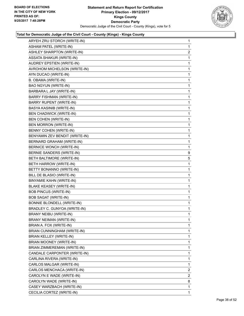

| ARYEH ZRU STORCH (WRITE-IN)       | 1 |
|-----------------------------------|---|
| <b>ASHAM PATEL (WRITE-IN)</b>     | 1 |
| <b>ASHLEY SHARPTON (WRITE-IN)</b> | 2 |
| <b>ASSATA SHAKUR (WRITE-IN)</b>   | 1 |
| AUDREY EPSTIEN (WRITE-IN)         | 1 |
| AVROHOM MICHELSON (WRITE-IN)      | 1 |
| AYN DUCAO (WRITE-IN)              | 1 |
| B. OBAMA (WRITE-IN)               | 1 |
| <b>BAO NGYUN (WRITE-IN)</b>       | 1 |
| BARBARA L JAY (WRITE-IN)          | 1 |
| <b>BARRY FISHMAN (WRITE-IN)</b>   | 1 |
| BARRY RUPENT (WRITE-IN)           | 1 |
| BASYA KASINIB (WRITE-IN)          | 1 |
| <b>BEN CHADWICK (WRITE-IN)</b>    | 1 |
| BEN COHEN (WRITE-IN)              | 1 |
| BEN MORRON (WRITE-IN)             | 1 |
| BENNY COHEN (WRITE-IN)            | 1 |
| BENYAMIN ZEV BENDIT (WRITE-IN)    | 1 |
| BERNARD GRAHAM (WRITE-IN)         | 1 |
| <b>BERNICE WONCH (WRITE-IN)</b>   | 1 |
| BERNIE SANDERS (WRITE-IN)         | 9 |
| BETH BALTIMORE (WRITE-IN)         | 5 |
| BETH HARROW (WRITE-IN)            | 1 |
| BETTY BONANNO (WRITE-IN)          | 1 |
| BILL DE BLASIO (WRITE-IN)         | 1 |
| BINYAMIE KAHN (WRITE-IN)          | 1 |
| <b>BLAKE KEASEY (WRITE-IN)</b>    | 1 |
| <b>BOB PINCUS (WRITE-IN)</b>      | 1 |
| <b>BOB SAGAT (WRITE-IN)</b>       | 1 |
| BONNIE BLONDELL (WRITE-IN)        | 1 |
| BRADLEY C. GUNYOA (WRITE-IN)      | 1 |
| <b>BRANY NEIBU (WRITE-IN)</b>     | 1 |
| BRANY NEIMAN (WRITE-IN)           | 1 |
| BRIAN A. FOX (WRITE-IN)           | 1 |
| BRIAN CUNNINGHAM (WRITE-IN)       | 1 |
| <b>BRIAN KELLEY (WRITE-IN)</b>    | 1 |
| BRIAN MOONEY (WRITE-IN)           | 1 |
| BRIAN ZIMMEREMAN (WRITE-IN)       | 1 |
| CANDALE CARPONTER (WRITE-IN)      | 1 |
| CARLINA RIVERA (WRITE-IN)         | 1 |
| CARLOS MALGAR (WRITE-IN)          | 1 |
| CARLOS MENCHACA (WRITE-IN)        | 2 |
| CAROLYN E WADE (WRITE-IN)         | 2 |
| CAROLYN WADE (WRITE-IN)           | 8 |
| CASEY WARZBACH (WRITE-IN)         | 1 |
| CECILIA CORTEZ (WRITE-IN)         | 1 |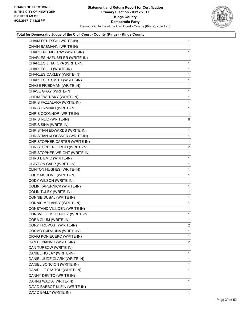

| CHAIM DEUTSCH (WRITE-IN)      | 1              |
|-------------------------------|----------------|
| CHAIN BABMANN (WRITE-IN)      | $\mathbf{1}$   |
| CHARLENE MCCRAY (WRITE-IN)    | $\mathbf{1}$   |
| CHARLES HAEUSSLER (WRITE-IN)  | 1              |
| CHARLES J. TAFOYA (WRITE-IN)  | 1              |
| CHARLES LIU (WRITE-IN)        | $\mathbf{1}$   |
| CHARLES OAKLEY (WRITE-IN)     | 1              |
| CHARLES R. SMITH (WRITE-IN)   | 1              |
| CHASE FRIEDMAN (WRITE-IN)     | 1              |
| CHASE GRAY (WRITE-IN)         | 1              |
| CHEIM TWERSKY (WRITE-IN)      | 1              |
| CHRIS FAZZALARA (WRITE-IN)    | $\mathbf{1}$   |
| CHRIS HANNAH (WRITE-IN)       | 1              |
| CHRIS OCONNOR (WRITE-IN)      | 1              |
| CHRIS REID (WRITE-IN)         | 6              |
| CHRIS SINA (WRITE-IN)         | 1              |
| CHRISTIAN EDWARDS (WRITE-IN)  | 1              |
| CHRISTIAN KLOSSNER (WRITE-IN) | $\mathbf{1}$   |
| CHRISTOPHER CARTER (WRITE-IN) | 1              |
| CHRISTOPHER G REID (WRITE-IN) | $\overline{2}$ |
| CHRISTOPHER WRIGHT (WRITE-IN) | 1              |
| CHRU D'EMIC (WRITE-IN)        | 1              |
| CLAYTON CAPP (WRITE-IN)       | 1              |
| CLINTON HUGHES (WRITE-IN)     | $\mathbf{1}$   |
| CODY MCCONE (WRITE-IN)        | 1              |
| CODY WILSON (WRITE-IN)        | 1              |
| COLIN KAPERNICK (WRITE-IN)    | 1              |
| COLIN TULEY (WRITE-IN)        | 1              |
| CONNIE DUBAL (WRITE-IN)       | 1              |
| CONNIE MELANDY (WRITE-IN)     | $\mathbf{1}$   |
| CONSTAND VILIJOEN (WRITE-IN)  | 1              |
| CONSVELO MELENDEZ (WRITE-IN)  | 1              |
| CORA CLUM (WRITE-IN)          | 1              |
| CORY PROVOST (WRITE-IN)       | $\mathbf{2}$   |
| COSMO FIJIYAUNA (WRITE-IN)    | 1              |
| CRAIG KONIECEKO (WRITE-IN)    | 1              |
| DAN BONANNO (WRITE-IN)        | 2              |
| DAN TURBOW (WRITE-IN)         | 1              |
| DANIEL HO JAY (WRITE-IN)      | 1              |
| DANIEL JUDE CLARK (WRITE-IN)  | 1              |
| DANIEL SONCION (WRITE-IN)     | 1              |
| DANIELLE CASTOR (WRITE-IN)    | 1              |
| DANNY DEVITO (WRITE-IN)       | 1              |
| DARNS WADIA (WRITE-IN)        | 1              |
| DAVID BABBOT-KLEIN (WRITE-IN) | 1              |
| DAVID BALLY (WRITE-IN)        | 1              |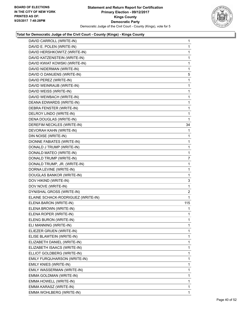

| DAVID CARROLL (WRITE-IN)           | 1              |
|------------------------------------|----------------|
| DAVID E. POLEN (WRITE-IN)          | 1              |
| DAVID HERSHKOWITZ (WRITE-IN)       | 1              |
| DAVID KATZENSTEIN (WRITE-IN)       | 1              |
| DAVID KWIAT KOWSKI (WRITE-IN)      | 1              |
| DAVID NIDERMAN (WRITE-IN)          | 1              |
| DAVID O DANUENS (WRITE-IN)         | 5              |
| DAVID PEREZ (WRITE-IN)             | 1              |
| DAVID WEINRAUB (WRITE-IN)          | 1              |
| DAVID WEISS (WRITE-IN)             | 1              |
| DAVID WEWBACH (WRITE-IN)           | 1              |
| DEANA EDWARDS (WRITE-IN)           | 1              |
| DEBRA FENSTER (WRITE-IN)           | 1              |
| DELROY LINDO (WRITE-IN)            | 1              |
| DENA DOUGLAS (WRITE-IN)            | 1              |
| DEREFIM NECKLES (WRITE-IN)         | 34             |
| DEVORAH KAHN (WRITE-IN)            | 1              |
| DIN NOISE (WRITE-IN)               | 1              |
| DIONNE FABIATES (WRITE-IN)         | 1              |
| DONALD J TRUMP (WRITE-IN)          | 1              |
| DONALD MATEO (WRITE-IN)            | 1              |
| DONALD TRUMP (WRITE-IN)            | 7              |
| DONALD TRUMP, JR. (WRITE-IN)       | 1              |
| DORNA LEVINE (WRITE-IN)            | 1              |
| DOUGLAS BANKOR (WRITE-IN)          | 1              |
| DOV HIKIND (WRITE-IN)              | 3              |
| DOV NOVE (WRITE-IN)                | 1              |
| DYNISHAL GROSS (WRITE-IN)          | $\overline{2}$ |
| ELAINE SCHACK-RODRIGUEZ (WRITE-IN) | 1              |
| ELENA BARON (WRITE-IN)             | 115            |
| ELENA BROWN (WRITE-IN)             | 1              |
| ELENA ROPER (WRITE-IN)             | 1              |
| ELENG BURON (WRITE-IN)             | 1              |
| ELI MANNING (WRITE-IN)             | 1              |
| ELIEZER GRUEN (WRITE-IN)           | 1              |
| ELISE BLAWTEIN (WRITE-IN)          | 1              |
| ELIZABETH DANIEL (WRITE-IN)        | 1              |
| ELIZABETH ISAACS (WRITE-IN)        | 1              |
| ELLIOT GOLDBERG (WRITE-IN)         | 1              |
| EMILY FURQUHARSON (WRITE-IN)       | 1              |
| EMILY KNIES (WRITE-IN)             | 1              |
| EMILY WASSERMAN (WRITE-IN)         | 1              |
| EMMA GOLDMAN (WRITE-IN)            | 1              |
| EMMA HOWELL (WRITE-IN)             | 1              |
| EMMA KARASZ (WRITE-IN)             | 1              |
| EMMA WOHLBERG (WRITE-IN)           | 1              |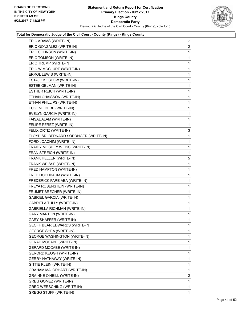

| ERIC ADAMS (WRITE-IN)                 | $\overline{7}$ |
|---------------------------------------|----------------|
| ERIC GONZALEZ (WRITE-IN)              | $\overline{2}$ |
| ERIC SOHNSON (WRITE-IN)               | 1              |
| ERIC TOMSON (WRITE-IN)                | 1              |
| ERIC TRUMP (WRITE-IN)                 | 1              |
| ERIC W MCCLURE (WRITE-IN)             | 1              |
| ERROL LEWIS (WRITE-IN)                | 1              |
| ESTAJO KOSLOW (WRITE-IN)              | 1              |
| ESTEE GELMAN (WRITE-IN)               | 1              |
| ESTHER REICH (WRITE-IN)               | 1              |
| ETHAN CHAISSON (WRITE-IN)             | 1              |
| ETHAN PHILLIPS (WRITE-IN)             | 1              |
| EUGENE DEBB (WRITE-IN)                | 1              |
| EVELYN GARCIA (WRITE-IN)              | 1              |
| FAISAL ALAM (WRITE-IN)                | 1              |
| FELIPE PEREZ (WRITE-IN)               | 1              |
| FELIX ORTIZ (WRITE-IN)                | 3              |
| FLOYD SR. BERNARD SORRNGER (WRITE-IN) | 1              |
| FORD JOACHIM (WRITE-IN)               | 1              |
| FRAIDY MOSHEY WEISS (WRITE-IN)        | 1              |
| FRAN STREICH (WRITE-IN)               | 1              |
| FRANK HELLEN (WRITE-IN)               | 5              |
| FRANK WEISSE (WRITE-IN)               | 1              |
| FRED HAMPTON (WRITE-IN)               | 1              |
| FRED HOCHBAUM (WRITE-IN)              | 1              |
| FREDERICK PAREIAEA (WRITE-IN)         | 1              |
| FREYA ROSENSTEIN (WRITE-IN)           | 1              |
| FRUMET BRECHER (WRITE-IN)             | 1              |
| <b>GABRIEL GARCIA (WRITE-IN)</b>      | $\mathbf{1}$   |
| <b>GABRIELA TULLY (WRITE-IN)</b>      | 1              |
| <b>GABRIELLA RICHMAN (WRITE-IN)</b>   | 1              |
| <b>GARY MARTON (WRITE-IN)</b>         | 1              |
| GARY SHAFFER (WRITE-IN)               | 1              |
| GEOFF BEAR EDWARDS (WRITE-IN)         | 1              |
| <b>GEORGE SHEA (WRITE-IN)</b>         | 1              |
| <b>GEORGE WASHINGTON (WRITE-IN)</b>   | $\mathbf{1}$   |
| GERAD MCCABE (WRITE-IN)               | 1              |
| GERARD MCCABE (WRITE-IN)              | 1              |
| GERORD KEOGH (WRITE-IN)               | 1              |
| <b>GERRY HATHAWAY (WRITE-IN)</b>      | 1              |
| GITTIE KLEIN (WRITE-IN)               | 1              |
| GRAHAM MAJORHART (WRITE-IN)           | 1              |
| <b>GRAINNE O'NEILL (WRITE-IN)</b>     | 2              |
| GREG GOMEZ (WRITE-IN)                 | 1              |
| GREG WERSCHING (WRITE-IN)             | 1              |
| <b>GREGG STUFF (WRITE-IN)</b>         | 1              |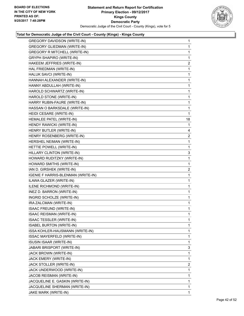

| GREGORY DAVIDSON (WRITE-IN)          | $\mathbf{1}$ |
|--------------------------------------|--------------|
| <b>GREGORY GLIEDMAN (WRITE-IN)</b>   | $\mathbf{1}$ |
| <b>GREGORY R MITCHELL (WRITE-IN)</b> | 1            |
| <b>GRYPH SHAPIRO (WRITE-IN)</b>      | 1            |
| HAKEEM JEFFRIES (WRITE-IN)           | 2            |
| HAL FRIEDMAN (WRITE-IN)              | 1            |
| HALUK SAVCI (WRITE-IN)               | 1            |
| HANNAH ALEXANDER (WRITE-IN)          | $\mathbf 1$  |
| HANNY ABDULLAH (WRITE-IN)            | 1            |
| HAROLD SCHWARTZ (WRITE-IN)           | 1            |
| HAROLD STONE (WRITE-IN)              | $\mathbf 1$  |
| HARRY RUBIN-FAURE (WRITE-IN)         | 1            |
| HASSAN O BARKSDALE (WRITE-IN)        | 1            |
| HEIDI CESARE (WRITE-IN)              | 1            |
| HEMALEE PATEL (WRITE-IN)             | 18           |
| HENDY RAWICKI (WRITE-IN)             | $\mathbf{1}$ |
| HENRY BUTLER (WRITE-IN)              | 4            |
| HENRY ROSENBERG (WRITE-IN)           | 2            |
| HERSHEL NEIMAN (WRITE-IN)            | 1            |
| HETTIE POWELL (WRITE-IN)             | $\mathbf{1}$ |
| HILLARY CLINTON (WRITE-IN)           | 3            |
| HOWARD RUDITZKY (WRITE-IN)           | 1            |
| HOWARD SMITHS (WRITE-IN)             | 1            |
| IAN D. GIRSHEK (WRITE-IN)            | 2            |
| IGENIE F HARRIS-BLENMAN (WRITE-IN)   | 1            |
| ILAWA GLAZER (WRITE-IN)              | $\mathbf{1}$ |
| ILENE RICHMOND (WRITE-IN)            | 1            |
| INEZ D. BARRON (WRITE-IN)            | 1            |
| INGRID SCHOLZE (WRITE-IN)            | $\mathbf{1}$ |
| IRA ZALCMAN (WRITE-IN)               | 1            |
| ISAAC FREUND (WRITE-IN)              | 1            |
| <b>ISAAC REISMAN (WRITE-IN)</b>      | 1            |
| <b>ISAAC TESSLER (WRITE-IN)</b>      | 1            |
| <b>ISABEL BURTON (WRITE-IN)</b>      | 1            |
| ISSA KOHLER-HAUSMANN (WRITE-IN)      | 1            |
| ISSAC MAYERFELD (WRITE-IN)           | 1            |
| <b>ISUSIN ISAAR (WRITE-IN)</b>       | 1            |
| JABARI BRISPORT (WRITE-IN)           | 3            |
| JACK BROWN (WRITE-IN)                | 1            |
| JACK EMERY (WRITE-IN)                | 1            |
| JACK STOLLER (WRITE-IN)              | 2            |
| JACK UNDERWOOD (WRITE-IN)            | 1            |
| JACOB REISMAN (WRITE-IN)             | 1            |
| JACQUELINE E. GASKIN (WRITE-IN)      | 1            |
| JACQUELINE SHERMAN (WRITE-IN)        | 1            |
| JAKE MARK (WRITE-IN)                 | 1            |
|                                      |              |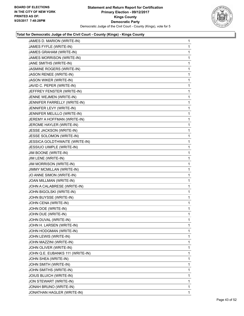

| JAMES D. MARION (WRITE-IN)       | 1 |
|----------------------------------|---|
| JAMES FYFLE (WRITE-IN)           | 1 |
| JAMES GRAHAM (WRITE-IN)          | 1 |
| JAMES MORRISON (WRITE-IN)        | 1 |
| JANE SMITHS (WRITE-IN)           | 1 |
| JASMINE ROGERS (WRITE-IN)        | 1 |
| JASON RENEE (WRITE-IN)           | 1 |
| JASON WIKER (WRITE-IN)           | 1 |
| JAVID C. PEPER (WRITE-IN)        | 1 |
| JEFFREY FENSTER (WRITE-IN)       | 1 |
| JENNE WEJMEN (WRITE-IN)          | 1 |
| JENNIFER FARRELLY (WRITE-IN)     | 1 |
| JENNIFER LEVY (WRITE-IN)         | 1 |
| JENNIFER MELILLO (WRITE-IN)      | 1 |
| JEREMY A HOFFMAN (WRITE-IN)      | 1 |
| JEROME HAYLER (WRITE-IN)         | 1 |
| JESSE JACKSON (WRITE-IN)         | 1 |
| JESSE SOLOMON (WRITE-IN)         | 1 |
| JESSICA GOLDTHWAITE (WRITE-IN)   | 1 |
| JESSIUO UIMPLE (WRITE-IN)        | 1 |
| JIM BOONE (WRITE-IN)             | 1 |
| JIM LENE (WRITE-IN)              | 1 |
| JIM MORRISON (WRITE-IN)          | 1 |
| JIMMY MCMILLAN (WRITE-IN)        | 1 |
| JO ANNE SIMON (WRITE-IN)         | 1 |
| JOAN MILLMAN (WRITE-IN)          | 1 |
| JOHN A CALABRESE (WRITE-IN)      | 1 |
| JOHN BIGOLSKI (WRITE-IN)         | 1 |
| JOHN BUYSSE (WRITE-IN)           | 1 |
| JOHN CENA (WRITE-IN)             | 1 |
| JOHN DOE (WRITE-IN)              | 1 |
| JOHN DUE (WRITE-IN)              | 1 |
| JOHN DUVAL (WRITE-IN)            | 1 |
| JOHN H. LARSEN (WRITE-IN)        | 1 |
| JOHN HODGMAN (WRITE-IN)          | 1 |
| JOHN LEWIS (WRITE-IN)            | 1 |
| JOHN MAZZINI (WRITE-IN)          | 1 |
| JOHN OLIVER (WRITE-IN)           | 1 |
| JOHN Q.E. EUBANKS 111 (WRITE-IN) | 1 |
| JOHN SHEA (WRITE-IN)             | 1 |
| JOHN SMITH (WRITE-IN)            | 1 |
| JOHN SMITHS (WRITE-IN)           | 1 |
| JOIUS BLUICH (WRITE-IN)          | 1 |
| JON STEWART (WRITE-IN)           | 1 |
| JONAH BRUNO (WRITE-IN)           | 1 |
| JONATHAN HAGLER (WRITE-IN)       | 1 |
|                                  |   |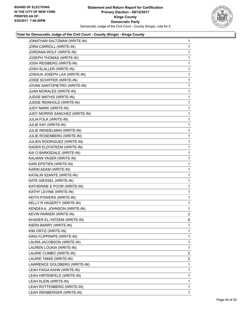

| JONATHAN SALTZMAN (WRITE-IN)   | $\mathbf{1}$   |
|--------------------------------|----------------|
| JORA CARROLL (WRITE-IN)        | 1              |
| JORDANA WOLF (WRITE-IN)        | 1              |
| JOSEPH THOMAS (WRITE-IN)       | 1              |
| JOSH REISBERG (WRITE-IN)       | 1              |
| JOSH SLALLER (WRITE-IN)        | 1              |
| JOSHUA JOSEPH LAX (WRITE-IN)   | 1              |
| JOSIE SCHIFFER (WRITE-IN)      | 1              |
| JOVAN SANTOPIETRO (WRITE-IN)   | 1              |
| JUAN MORALES (WRITE-IN)        | 1              |
| JUDGE MATHIS (WRITE-IN)        | 1              |
| JUDGE REINHOLD (WRITE-IN)      | 1              |
| JUDY MARK (WRITE-IN)           | 1              |
| JUDY MORRIS SANCHEZ (WRITE-IN) | 1              |
| JULIA FOLK (WRITE-IN)          | 1              |
| JULIE KAY (WRITE-IN)           | 1              |
| JULIE RENDELMAN (WRITE-IN)     | 1              |
| JULIE ROSENBERG (WRITE-IN)     | 1              |
| JULIEN RODRIGUEZ (WRITE-IN)    | 1              |
| KADER ELDYATEEM (WRITE-IN)     | 1              |
| KAI O BARKSDALE (WRITE-IN)     | 1              |
| KALMAN YAGER (WRITE-IN)        | 1              |
| KARI EPSTIEN (WRITE-IN)        | 1              |
| KARIN ADAM (WRITE-IN)          | 1              |
| KATALIN SZANTE (WRITE-IN)      | 1              |
| KATE GIESSEL (WRITE-IN)        | 1              |
| KATHERINE E POOR (WRITE-IN)    | 1              |
| KATHY LEVINE (WRITE-IN)        | 1              |
| KEITH POWERS (WRITE-IN)        | 1              |
| KELLY R HAGERTY (WRITE-IN)     | 1              |
| KENDEA A. JOHNSON (WRITE-IN)   | 1              |
| KEVIN PARKER (WRITE-IN)        | $\overline{2}$ |
| KHADER EL-YATEEM (WRITE-IN)    | 6              |
| KIERA BARRY (WRITE-IN)         | 1              |
| KIM ORTIZ (WRITE-IN)           | 1              |
| KING FLIPPINIPS (WRITE-IN)     | 1              |
| LAURA JACOBSON (WRITE-IN)      | 1              |
| LAUREN LOUKIA (WRITE-IN)       | 1              |
| LAURIE CUMBO (WRITE-IN)        | 2              |
| LAURIE TAMIS (WRITE-IN)        | $\overline{2}$ |
| LAWRENCE GOLDBERG (WRITE-IN)   | 1              |
| LEAH FAIGA KAHN (WRITE-IN)     | 1              |
| LEAH HIRTENFELD (WRITE-IN)     | 1              |
| LEAH KLEIN (WRITE-IN)          | 1              |
| LEAH ROTTENBERG (WRITE-IN)     | 1              |
| LEAH WENBERGER (WRITE-IN)      | 1              |
|                                |                |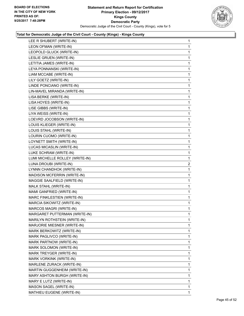

| LEE R SHUBERT (WRITE-IN)        | 1                       |
|---------------------------------|-------------------------|
| LEON OFMAN (WRITE-IN)           | 1                       |
| LEOPOLD GLUCK (WRITE-IN)        | 1                       |
| LESLIE GRUEN (WRITE-IN)         | 1                       |
| LETITIA JAMES (WRITE-IN)        | 1                       |
| LEYA PONNANSKI (WRITE-IN)       | 1                       |
| LIAM MCCABE (WRITE-IN)          | 1                       |
| LILY GOETZ (WRITE-IN)           | 1                       |
| LINDE PONCIANO (WRITE-IN)       | 1                       |
| LIN-MAVEL MIRANDA (WRITE-IN)    | 1                       |
| LISA BERKE (WRITE-IN)           | 1                       |
| LISA HOYES (WRITE-IN)           | 1                       |
| LISE GIBBS (WRITE-IN)           | 1                       |
| LIYA WEISS (WRITE-IN)           | 1                       |
| LOEVRD JOCOBSON (WRITE-IN)      | 1                       |
| LOUIS KLIEGER (WRITE-IN)        | 1                       |
| LOUIS STAHL (WRITE-IN)          | 1                       |
| LOURIN CUOMO (WRITE-IN)         | 1                       |
| LOYNETT SMITH (WRITE-IN)        | 1                       |
| LUCAS MICASLIN (WRITE-IN)       | 1                       |
| LUKE SCHRAM (WRITE-IN)          | 1                       |
| LUMI MICHELLE ROLLEY (WRITE-IN) | 1                       |
| LUNA DROUBI (WRITE-IN)          | $\overline{\mathbf{c}}$ |
| LYNNN CHANDHOK (WRITE-IN)       | 1                       |
| MADISON MCFERRIN (WRITE-IN)     | 1                       |
| MAGGIE SAALFIELD (WRITE-IN)     | 1                       |
| MALK STAHL (WRITE-IN)           | 1                       |
| MAMI GANFRIED (WRITE-IN)        | 1                       |
| MARC FINKLESTIEN (WRITE-IN)     | 1                       |
| MARCIA SIKOWITZ (WRITE-IN)      | 1                       |
| MARCOS MAGRI (WRITE-IN)         | 1                       |
| MARGARET PUTTERMAN (WRITE-IN)   | 1                       |
| MARILYN ROTHSTEIN (WRITE-IN)    | 1                       |
| MARJORIE MIESNER (WRITE-IN)     | 1                       |
| MARK BERKOWITZ (WRITE-IN)       | 1                       |
| MARK PAGLIVCO (WRITE-IN)        | 1                       |
| MARK PARTNOW (WRITE-IN)         | 1                       |
| MARK SOLOMON (WRITE-IN)         | 1                       |
| MARK TREYGER (WRITE-IN)         | 1                       |
| MARK VORKINK (WRITE-IN)         | 1                       |
| MARLENE ZURACK (WRITE-IN)       | 1                       |
| MARTIN GUGGENHEIM (WRITE-IN)    | 1                       |
| MARY ASHTON BURGH (WRITE-IN)    | 1                       |
| MARY E LUTZ (WRITE-IN)          | 1                       |
| MASON SAGEL (WRITE-IN)          | 1                       |
| MATHIEU EUGENE (WRITE-IN)       | 1                       |
|                                 |                         |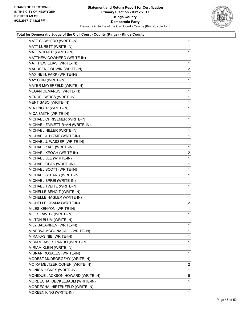

| MATT COWHERD (WRITE-IN)           | $\mathbf 1$             |
|-----------------------------------|-------------------------|
| MATT LURETT (WRITE-IN)            | 1                       |
| MATT VOLNER (WRITE-IN)            | $\mathbf{1}$            |
| MATTHEW COWHERD (WRITE-IN)        | 1                       |
| MATTHEW ELIAS (WRITE-IN)          | 1                       |
| MAUREEN GODWIN (WRITE-IN)         | 2                       |
| MAXINE H. PARK (WRITE-IN)         | 1                       |
| MAY CHIN (WRITE-IN)               | 1                       |
| MAYER MAYERFELD (WRITE-IN)        | $\mathbf{1}$            |
| <b>MEGAN DEMARUS (WRITE-IN)</b>   | 1                       |
| MENDEL WEISS (WRITE-IN)           | 1                       |
| MENT SABO (WRITE-IN)              | 1                       |
| MIA UNGER (WRITE-IN)              | 1                       |
| MICA SMITH (WRITE-IN)             | 1                       |
| MICHAEL CHRISEMER (WRITE-IN)      | 1                       |
| MICHAEL EMMETT RYAN (WRITE-IN)    | 1                       |
| MICHAEL HILLER (WRITE-IN)         | 1                       |
| MICHAEL J. HIZME (WRITE-IN)       | 1                       |
| MICHAEL J. WASSER (WRITE-IN)      | 1                       |
| MICHAEL KALT (WRITE-IN)           | 1                       |
| MICHAEL KEOGH (WRITE-IN)          | $\overline{\mathbf{c}}$ |
| MICHAEL LEE (WRITE-IN)            | 1                       |
| MICHAEL OPAK (WRITE-IN)           | 1                       |
| MICHAEL SCOTT (WRITE-IN)          | 1                       |
| MICHAEL SPEARS (WRITE-IN)         | 1                       |
| MICHAEL SPREI (WRITE-IN)          | 1                       |
| MICHAEL TVEITE (WRITE-IN)         | 1                       |
| MICHELLE BENOIT (WRITE-IN)        | 1                       |
| MICHELLE HAGLER (WRITE-IN)        | 1                       |
| MICHELLE OBAMA (WRITE-IN)         | $\overline{\mathbf{c}}$ |
| MILES KENYON (WRITE-IN)           | 1                       |
| MILES RAVITZ (WRITE-IN)           | 1                       |
| MILTON BLUM (WRITE-IN)            | 1                       |
| MILY BALAKIREV (WRITE-IN)         | 1                       |
| MINERVA MCGONAGALL (WRITE-IN)     | 1                       |
| MIRA KASINIB (WRITE-IN)           | 1                       |
| MIRIAM DAVES PARDO (WRITE-IN)     | 1                       |
| MIRIAM KLEIN (WRITE-IN)           | 1                       |
| MISNAN ROSALES (WRITE-IN)         | 1                       |
| MODEST MUDEORGFHY (WRITE-IN)      | $\mathbf{1}$            |
| MOIRA MELTZER-COHEN (WRITE-IN)    | $\mathbf{2}$            |
| MONICA HICKEY (WRITE-IN)          | 1                       |
| MONIQUE JACKSON HOWARD (WRITE-IN) | 5                       |
| MORDECHAI DECKELBAUM (WRITE-IN)   | 1                       |
| MORDECHAI HIRTENFELD (WRITE-IN)   | 1                       |
| MOREEN KING (WRITE-IN)            | 1                       |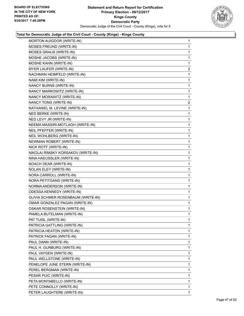

| MORTON AUIGDOR (WRITE-IN)          | $\mathbf{1}$ |
|------------------------------------|--------------|
| <b>MOSES FREUND (WRITE-IN)</b>     | 1            |
| <b>MOSES GRAUS (WRITE-IN)</b>      | 1            |
| MOSHE JACOBS (WRITE-IN)            | 1            |
| MOSHE KAHN (WRITE-IN)              | 1            |
| MYER LAUFER (WRITE-IN)             | 2            |
| NACHMAN HEIMFELD (WRITE-IN)        | 1            |
| NAMI KIM (WRITE-IN)                | 1            |
| NANCY BURNS (WRITE-IN)             | 1            |
| NANCY MARKOWITZ (WRITE-IN)         | 1            |
| NANCY MORAWITZ (WRITE-IN)          | 1            |
| NANCY TONG (WRITE-IN)              | 2            |
| NATHANIEL M. LEVINE (WRITE-IN)     | 1            |
| NED BERKE (WRITE-IN)               | 1            |
| NED LEVY JR (WRITE-IN)             | 1            |
| NEEMA MASSIRI-MOTLAGH (WRITE-IN)   | 1            |
| NEIL PFEFFER (WRITE-IN)            | 1            |
| NEIL WOHLBERG (WRITE-IN)           | 1            |
| NEWMAN ROBERT (WRITE-IN)           | 1            |
| NICK ROTF (WRITE-IN)               | 1            |
| NIKOLAI RIMSKY KORSAKOV (WRITE-IN) | 1            |
| NINA HAEUSSLER (WRITE-IN)          | 1            |
| NOACH DEAR (WRITE-IN)              | 1            |
| <b>NOLAN ELEY (WRITE-IN)</b>       | 1            |
| NORA CARROLL (WRITE-IN)            | 1            |
| NORA PETITGAND (WRITE-IN)          | 1            |
| NORMA ANDERSON (WRITE-IN)          | 1            |
| ODESSA KENNEDY (WRITE-IN)          | 1            |
| OLIVIA SCHMER ROSENBAUM (WRITE-IN) | 1            |
| OMAR GONZALEZ PAGAN (WRITE-IN)     | 1            |
| OSKAR ROSENSTEIN (WRITE-IN)        | 1            |
| PAMELA BUTELMAN (WRITE-IN)         | 1            |
| PAT TUISL (WRITE-IN)               | 1            |
| PATRICIA GATTLING (WRITE-IN)       | 1            |
| PATRICIA HEATON (WRITE-IN)         | 1            |
| PATRICK FAGAN (WRITE-IN)           | 1            |
| PAUL DANN (WRITE-IN)               | 1            |
| PAUL H. GURBURG (WRITE-IN)         | 1            |
| PAUL VAYGEN (WRITE-IN)             | 1            |
| PAUL WELLSTONE (WRITE-IN)          | 1            |
| PENELOPE JUNE STERN (WRITE-IN)     | 1            |
| PEREL BERGMAN (WRITE-IN)           | 1            |
| PESAR PUIC (WRITE-IN)              | 1            |
| PETA MONTABELLO (WRITE-IN)         | 1            |
| PETE CONNOLLY (WRITE-IN)           | 1            |
| PETER LAUGHTERE (WRITE-IN)         | 1            |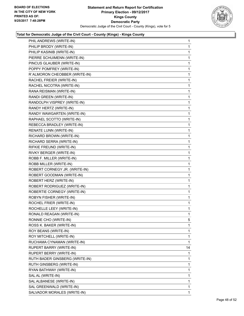

| PHIL ANDREWS (WRITE-IN)        | 1            |
|--------------------------------|--------------|
| PHILIP BRODY (WRITE-IN)        | 1            |
| PHILIP KASINIB (WRITE-IN)      | $\mathbf{1}$ |
| PIERRE SCHUIMENN (WRITE-IN)    | 1            |
| PINCUS GLAUBER (WRITE-IN)      | 1            |
| POPPY POMFREY (WRITE-IN)       | 1            |
| R'ALMORON CHEOBBER (WRITE-IN)  | 1            |
| RACHEL FREIER (WRITE-IN)       | 1            |
| RACHEL NICOTRA (WRITE-IN)      | 1            |
| RANA REISMAN (WRITE-IN)        | 1            |
| RANDI GREEN (WRITE-IN)         | 1            |
| RANDOLPH VISPREY (WRITE-IN)    | 1            |
| RANDY HERTZ (WRITE-IN)         | 1            |
| RANDY WAWGARTEN (WRITE-IN)     | 1            |
| RAPHAEL SCOTTO (WRITE-IN)      | 1            |
| REBECCA BRADLEY (WRITE-IN)     | 1            |
| RENATE LUNN (WRITE-IN)         | 1            |
| RICHARD BROWN (WRITE-IN)       | 1            |
| RICHARD SERRA (WRITE-IN)       | 1            |
| RIFKIE FREUND (WRITE-IN)       | 1            |
| RIVKY BERGER (WRITE-IN)        | 1            |
| ROBB F. MILLER (WRITE-IN)      | 1            |
| ROBB MILLER (WRITE-IN)         | 1            |
| ROBERT CORNEGY JR. (WRITE-IN)  | 1            |
| ROBERT GOODMAN (WRITE-IN)      | 1            |
| ROBERT HERZ (WRITE-IN)         | 1            |
| ROBERT RODRIGUEZ (WRITE-IN)    | 1            |
| ROBERTIE CORNEGY (WRITE-IN)    | 1            |
| ROBYN FISHER (WRITE-IN)        | 1            |
| ROCHEL FRIER (WRITE-IN)        | 1            |
| ROCHELLE LEEY (WRITE-IN)       | 1            |
| RONALD REAGAN (WRITE-IN)       | 1            |
| RONNIE CHO (WRITE-IN)          | 5            |
| ROSS K. BAKER (WRITE-IN)       | 1            |
| ROY BEANS (WRITE-IN)           | 1            |
| ROY MITCHELL (WRITE-IN)        | 1            |
| RUCHAMA CYNAMAN (WRITE-IN)     | 1            |
| RUPERT BARRY (WRITE-IN)        | 14           |
| RUPERT BERRY (WRITE-IN)        | 1            |
| RUTH BADER GINSBERG (WRITE-IN) | 1            |
| RUTH GINSBERG (WRITE-IN)       | 1            |
| RYAN BATHWAY (WRITE-IN)        | 1            |
| SAL AL (WRITE-IN)              | 1            |
| SAL ALBANESE (WRITE-IN)        | 1            |
| SAL GREENWALD (WRITE-IN)       | 1            |
| SALVADOR MORALES (WRITE-IN)    | 1            |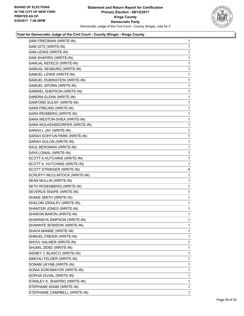

| 1 |
|---|
| 1 |
| 1 |
| 1 |
| 1 |
| 1 |
| 1 |
| 1 |
| 1 |
| 1 |
| 1 |
| 1 |
| 1 |
| 1 |
| 1 |
| 1 |
| 1 |
| 1 |
| 1 |
| 1 |
| 1 |
| 1 |
| 1 |
| 4 |
| 1 |
| 1 |
| 1 |
| 1 |
| 1 |
| 1 |
| 1 |
| 1 |
| 1 |
| 1 |
| 1 |
| 1 |
| 1 |
| 1 |
| 1 |
|   |
| 1 |
| 1 |
| 1 |
| 1 |
| 1 |
| 1 |
|   |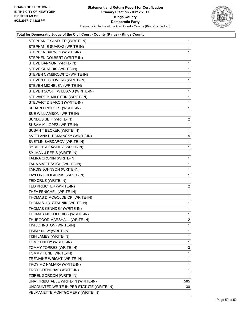

| STEPHANIE SANDLER (WRITE-IN)              | 1            |
|-------------------------------------------|--------------|
| STEPHANIE SUARAZ (WRITE-IN)               | 1            |
| STEPHEN BARNES (WRITE-IN)                 | 1            |
| STEPHEN COLBERT (WRITE-IN)                | $\mathbf{1}$ |
| STEVE BANNON (WRITE-IN)                   | 1            |
| STEVE CHADDIS (WRITE-IN)                  | 1            |
| STEVEN CYMBROWITZ (WRITE-IN)              | 1            |
| STEVEN E. SHOVERS (WRITE-IN)              | 1            |
| STEVEN MICHELEN (WRITE-IN)                | 1            |
| STEVEN SCOTT WILLIAMS (WRITE-IN)          | 1            |
| STEWART B. MILSTEIN (WRITE-IN)            | 1            |
| STEWART D BARON (WRITE-IN)                | 1            |
| SUBARI BRISPORT (WRITE-IN)                | 1            |
| SUE WILLIAMSON (WRITE-IN)                 | 1            |
| SUNDUS SEIF (WRITE-IN)                    | 2            |
| SUSAM K. LOPEZ (WRITE-IN)                 | 1            |
| SUSAN T BECKER (WRITE-IN)                 | 1            |
| SVETLANA L. POMANSKY (WRITE-IN)           | 5            |
| SVETLIN BARDAROV (WRITE-IN)               | 1            |
| SYBILL TRELAWNEY (WRITE-IN)               | 1            |
| SYLMAN J PERIS (WRITE-IN)                 | 1            |
| TAMRA CRONIN (WRITE-IN)                   | 1            |
| TARA MATTESSICH (WRITE-IN)                | 1            |
| TARDIS JOHNSON (WRITE-IN)                 | 1            |
| TAYLOR LOOLASINKI (WRITE-IN)              | 1            |
| TED CRUZ (WRITE-IN)                       | 1            |
| TED KRISCHER (WRITE-IN)                   | 2            |
| THEA FENICHEL (WRITE-IN)                  | 1            |
| THOMAS D MCGOLDEICK (WRITE-IN)            | 1            |
| THOMAS J.R. STADNIK (WRITE-IN)            | 1            |
| THOMAS KENNDEY (WRITE-IN)                 | 1            |
| THOMAS MCGOLDRICK (WRITE-IN)              | 1            |
| THURGOOD MARSHALL (WRITE-IN)              | 2            |
| TIM JOHNSTON (WRITE-IN)                   | 1            |
| TIMM SNOW (WRITE-IN)                      | 1            |
| TISH JAMES (WRITE-IN)                     | 1            |
| TOM KENEDY (WRITE-IN)                     | 1            |
| TOMMY TORRES (WRITE-IN)                   | 3            |
| TOMMY TUNE (WRITE-IN)                     | 1            |
| TREMAINE WRIGHT (WRITE-IN)                | 1            |
| TROY MC NAMARA (WRITE-IN)                 | 1            |
| TROY ODENDHAL (WRITE-IN)                  | 1            |
| TZIREL GORDON (WRITE-IN)                  | 1            |
| UNATTRIBUTABLE WRITE-IN (WRITE-IN)        | 565          |
| UNCOUNTED WRITE-IN PER STATUTE (WRITE-IN) | 30           |
| VELMANETTE MONTGOMERY (WRITE-IN)          | 1            |
|                                           |              |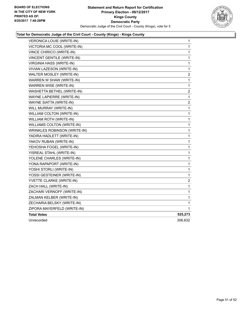

| <b>VERONICA LOUIE (WRITE-IN)</b>  | $\mathbf{1}$            |
|-----------------------------------|-------------------------|
| VICTORIA MC COOL (WRITE-IN)       | 1                       |
| VINCE CHIRICO (WRITE-IN)          | 1                       |
| VINCENT GENTILE (WRITE-IN)        | $\mathbf{1}$            |
| VIRGINIA HASS (WRITE-IN)          | $\mathbf 1$             |
| VIVIAN LAZESON (WRITE-IN)         | 1                       |
| WALTER MOSLEY (WRITE-IN)          | 2                       |
| WARREN W SHAW (WRITE-IN)          | 1                       |
| WARREN WISE (WRITE-IN)            | 1                       |
| WASHETTA BETHEL (WRITE-IN)        | $\overline{\mathbf{c}}$ |
| WAYNE LAPIERRE (WRITE-IN)         | 1                       |
| WAYNE SIATTA (WRITE-IN)           | $\overline{c}$          |
| WILL MURRAY (WRITE-IN)            | 1                       |
| WILLIAM COLTON (WRITE-IN)         | $\mathbf{1}$            |
| WILLIAM ROTH (WRITE-IN)           | 1                       |
| <b>WILLIAMS COLTON (WRITE-IN)</b> | 1                       |
| WRINKLES ROBINSON (WRITE-IN)      | 1                       |
| YADIRA HADLETT (WRITE-IN)         | 1                       |
| YAKOV RUBAN (WRITE-IN)            | 1                       |
| YEHOSHA FOGEL (WRITE-IN)          | 1                       |
| YISREAL STAHL (WRITE-IN)          | 1                       |
| YOLENE CHARLES (WRITE-IN)         | $\mathbf{1}$            |
| YONA RAPAPORT (WRITE-IN)          | $\mathbf 1$             |
| YOSHI STORLI (WRITE-IN)           | 1                       |
| YOSSI GESTEINER (WRITE-IN)        | 1                       |
| YVETTE CLARKE (WRITE-IN)          | $\overline{2}$          |
| ZACH HALL (WRITE-IN)              | $\mathbf{1}$            |
| ZACHARI VERNOFF (WRITE-IN)        | 1                       |
| ZALMAN KELBER (WRITE-IN)          | 1                       |
| ZECHARIA BELSKY (WRITE-IN)        | 1                       |
| ZIPORA MAYERFELD (WRITE-IN)       | 1                       |
| <b>Total Votes</b>                | 525,273                 |
| Unrecorded                        | 306,632                 |